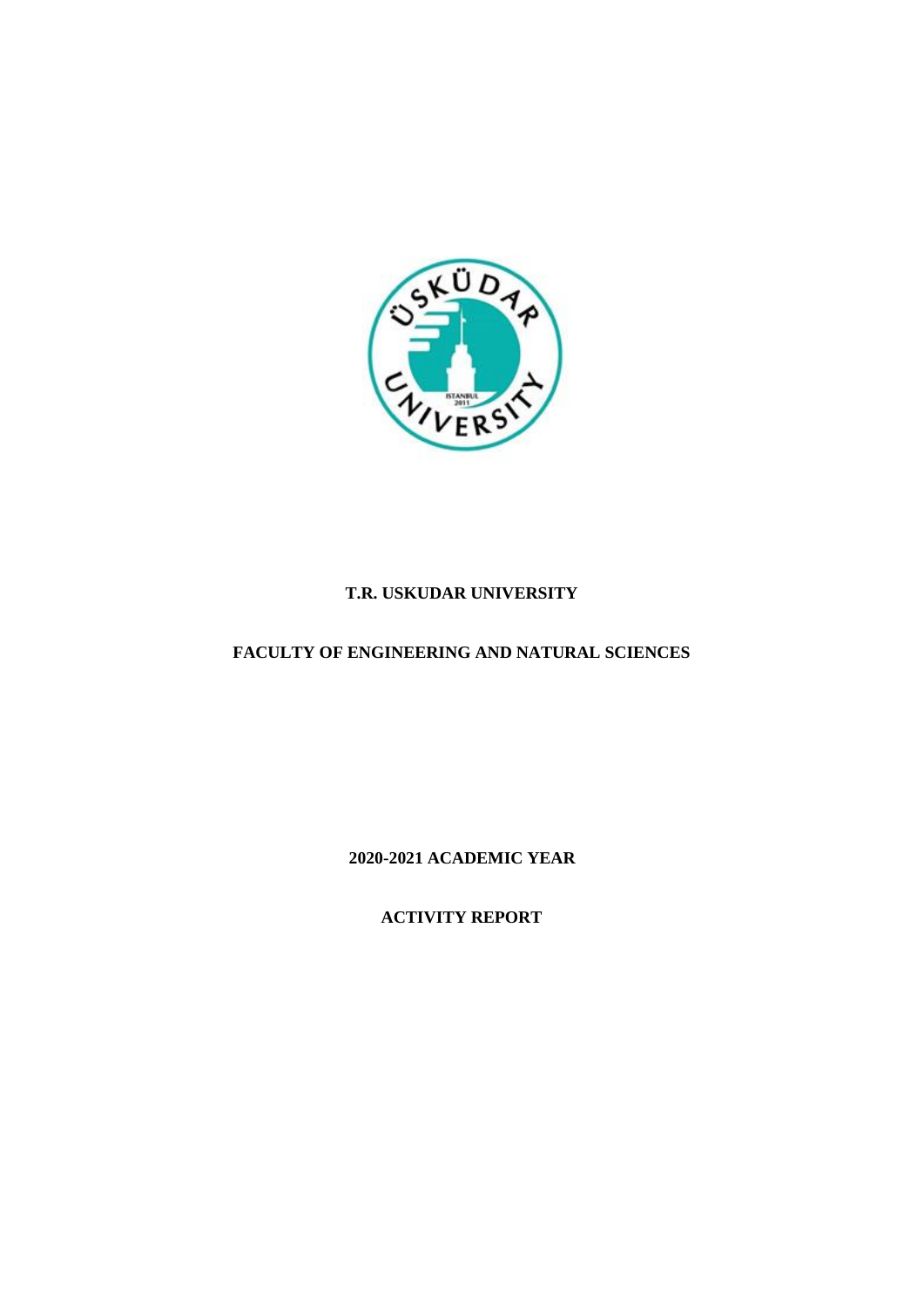

# **T.R. USKUDAR UNIVERSITY**

# **FACULTY OF ENGINEERING AND NATURAL SCIENCES**

**2020-2021 ACADEMIC YEAR**

**ACTIVITY REPORT**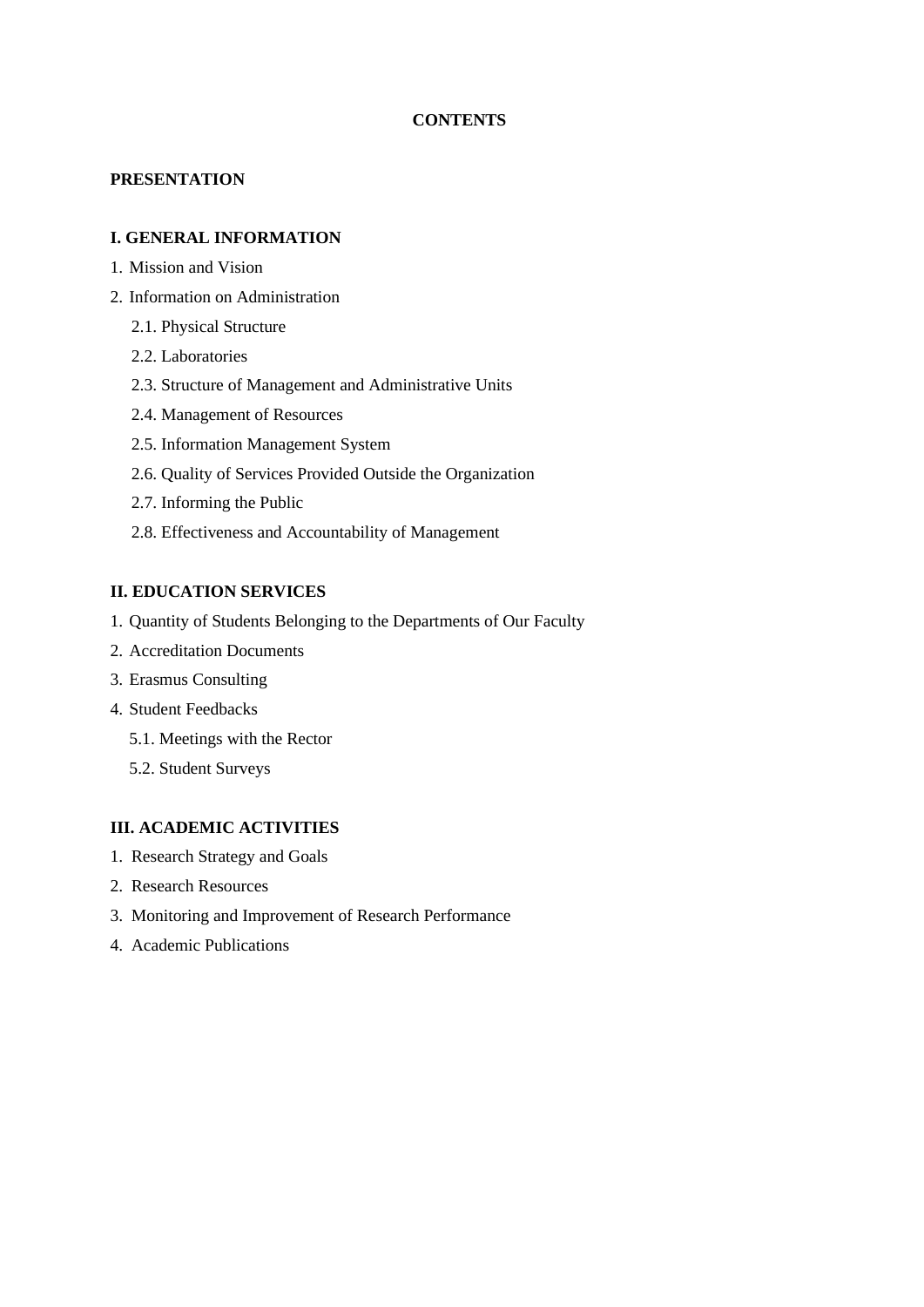## **CONTENTS**

## **PRESENTATION**

### **I. GENERAL INFORMATION**

- 1. Mission and Vision
- 2. Information on Administration
	- 2.1. Physical Structure
	- 2.2. Laboratories
	- 2.3. Structure of Management and Administrative Units
	- 2.4. Management of Resources
	- 2.5. Information Management System
	- 2.6. Quality of Services Provided Outside the Organization
	- 2.7. Informing the Public
	- 2.8. Effectiveness and Accountability of Management

## **II. EDUCATION SERVICES**

- 1. Quantity of Students Belonging to the Departments of Our Faculty
- 2. Accreditation Documents
- 3. Erasmus Consulting
- 4. Student Feedbacks
	- 5.1. Meetings with the Rector
	- 5.2. Student Surveys

## **III. ACADEMIC ACTIVITIES**

- 1. Research Strategy and Goals
- 2. Research Resources
- 3. Monitoring and Improvement of Research Performance
- 4. Academic Publications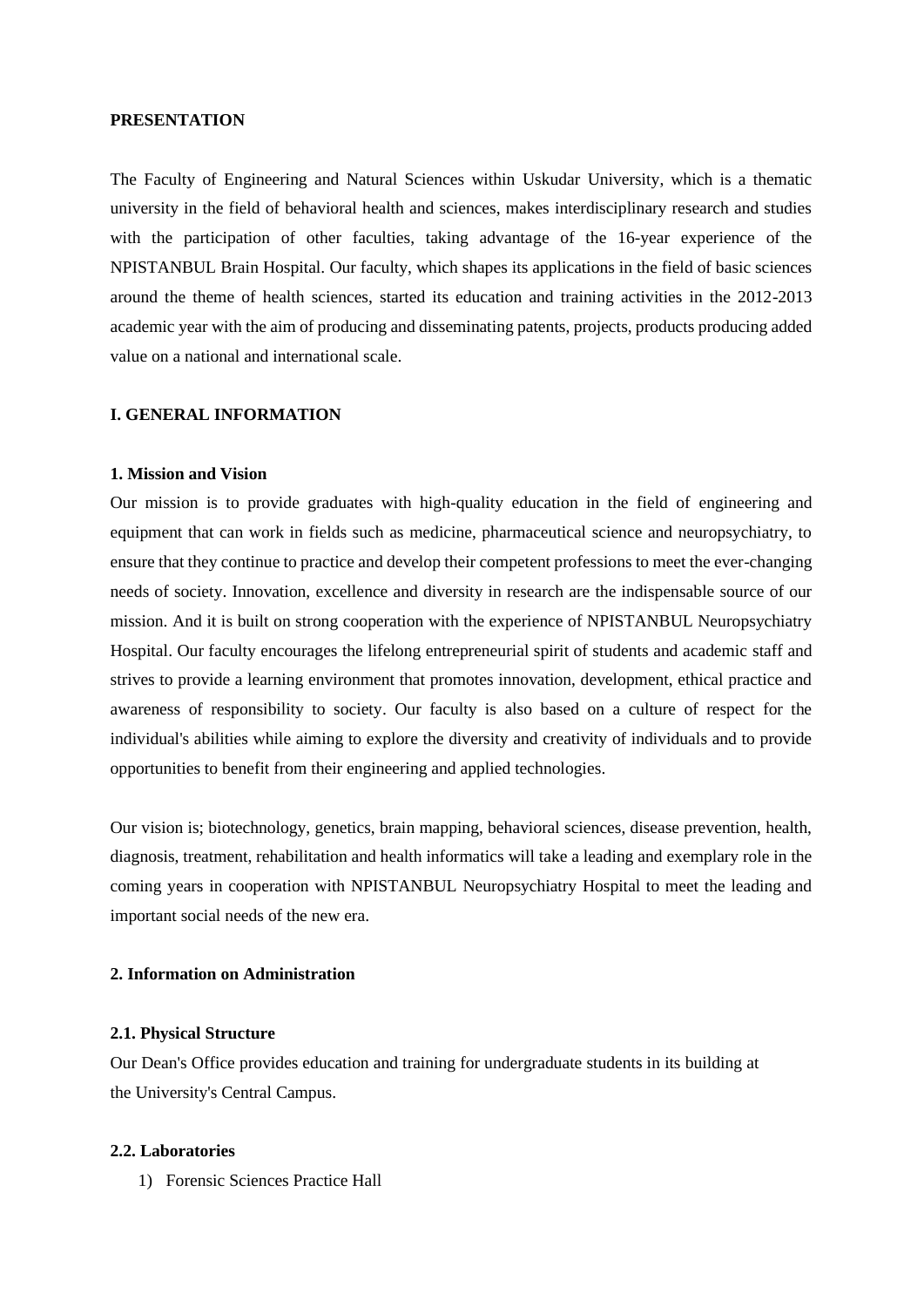#### **PRESENTATION**

The Faculty of Engineering and Natural Sciences within Uskudar University, which is a thematic university in the field of behavioral health and sciences, makes interdisciplinary research and studies with the participation of other faculties, taking advantage of the 16-year experience of the NPISTANBUL Brain Hospital. Our faculty, which shapes its applications in the field of basic sciences around the theme of health sciences, started its education and training activities in the 2012-2013 academic year with the aim of producing and disseminating patents, projects, products producing added value on a national and international scale.

#### **I. GENERAL INFORMATION**

#### **1. Mission and Vision**

Our mission is to provide graduates with high-quality education in the field of engineering and equipment that can work in fields such as medicine, pharmaceutical science and neuropsychiatry, to ensure that they continue to practice and develop their competent professions to meet the ever-changing needs of society. Innovation, excellence and diversity in research are the indispensable source of our mission. And it is built on strong cooperation with the experience of NPISTANBUL Neuropsychiatry Hospital. Our faculty encourages the lifelong entrepreneurial spirit of students and academic staff and strives to provide a learning environment that promotes innovation, development, ethical practice and awareness of responsibility to society. Our faculty is also based on a culture of respect for the individual's abilities while aiming to explore the diversity and creativity of individuals and to provide opportunities to benefit from their engineering and applied technologies.

Our vision is; biotechnology, genetics, brain mapping, behavioral sciences, disease prevention, health, diagnosis, treatment, rehabilitation and health informatics will take a leading and exemplary role in the coming years in cooperation with NPISTANBUL Neuropsychiatry Hospital to meet the leading and important social needs of the new era.

#### **2. Information on Administration**

#### **2.1. Physical Structure**

Our Dean's Office provides education and training for undergraduate students in its building at the University's Central Campus.

#### **2.2. Laboratories**

1) Forensic Sciences Practice Hall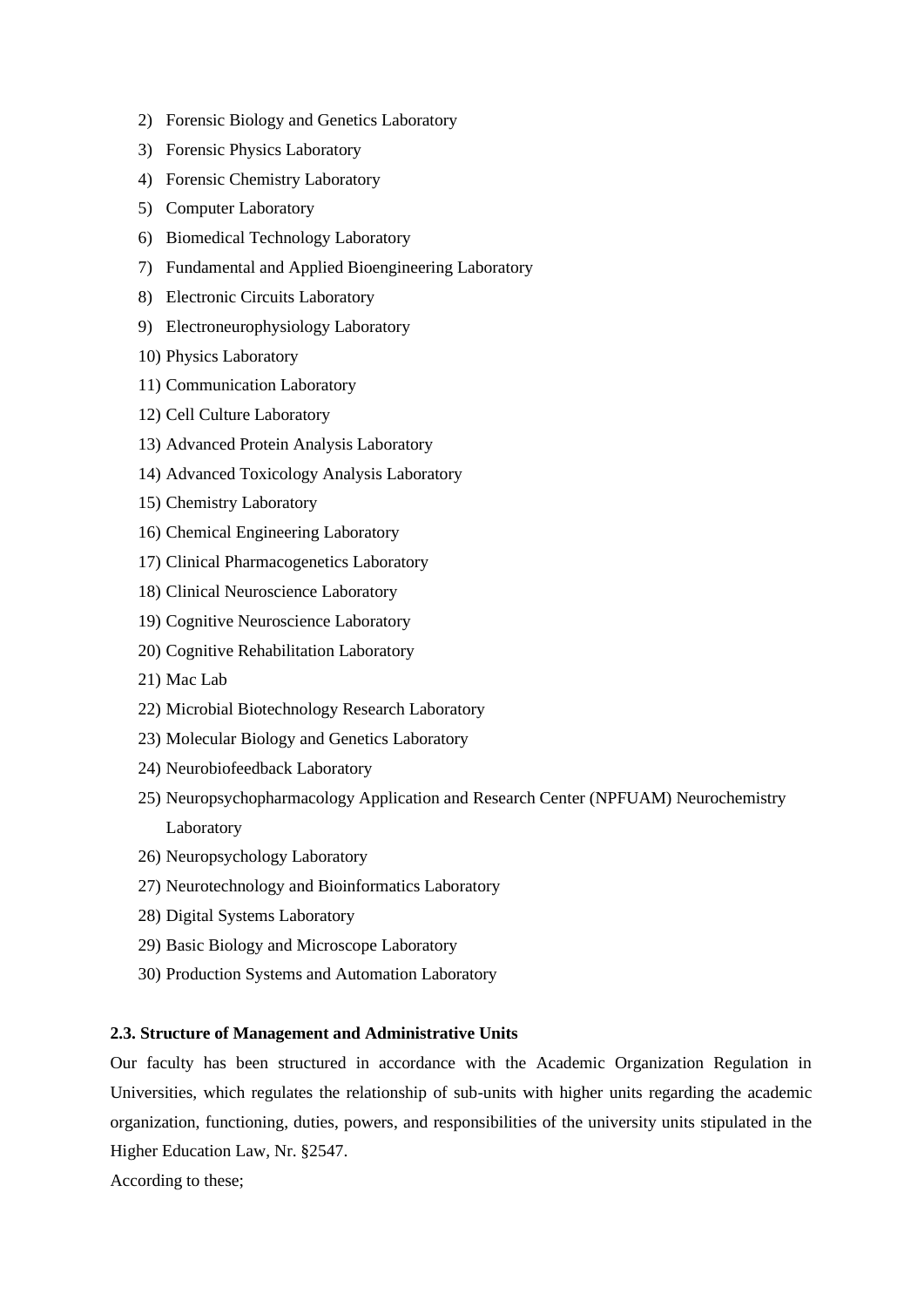- 2) Forensic Biology and Genetics Laboratory
- 3) Forensic Physics Laboratory
- 4) Forensic Chemistry Laboratory
- 5) Computer Laboratory
- 6) Biomedical Technology Laboratory
- 7) Fundamental and Applied Bioengineering Laboratory
- 8) Electronic Circuits Laboratory
- 9) Electroneurophysiology Laboratory
- 10) Physics Laboratory
- 11) Communication Laboratory
- 12) Cell Culture Laboratory
- 13) Advanced Protein Analysis Laboratory
- 14) Advanced Toxicology Analysis Laboratory
- 15) Chemistry Laboratory
- 16) Chemical Engineering Laboratory
- 17) Clinical Pharmacogenetics Laboratory
- 18) Clinical Neuroscience Laboratory
- 19) Cognitive Neuroscience Laboratory
- 20) Cognitive Rehabilitation Laboratory
- 21) Mac Lab
- 22) Microbial Biotechnology Research Laboratory
- 23) Molecular Biology and Genetics Laboratory
- 24) Neurobiofeedback Laboratory
- 25) Neuropsychopharmacology Application and Research Center (NPFUAM) Neurochemistry Laboratory
- 26) Neuropsychology Laboratory
- 27) Neurotechnology and Bioinformatics Laboratory
- 28) Digital Systems Laboratory
- 29) Basic Biology and Microscope Laboratory
- 30) Production Systems and Automation Laboratory

#### **2.3. Structure of Management and Administrative Units**

Our faculty has been structured in accordance with the Academic Organization Regulation in Universities, which regulates the relationship of sub-units with higher units regarding the academic organization, functioning, duties, powers, and responsibilities of the university units stipulated in the Higher Education Law, Nr. §2547.

According to these;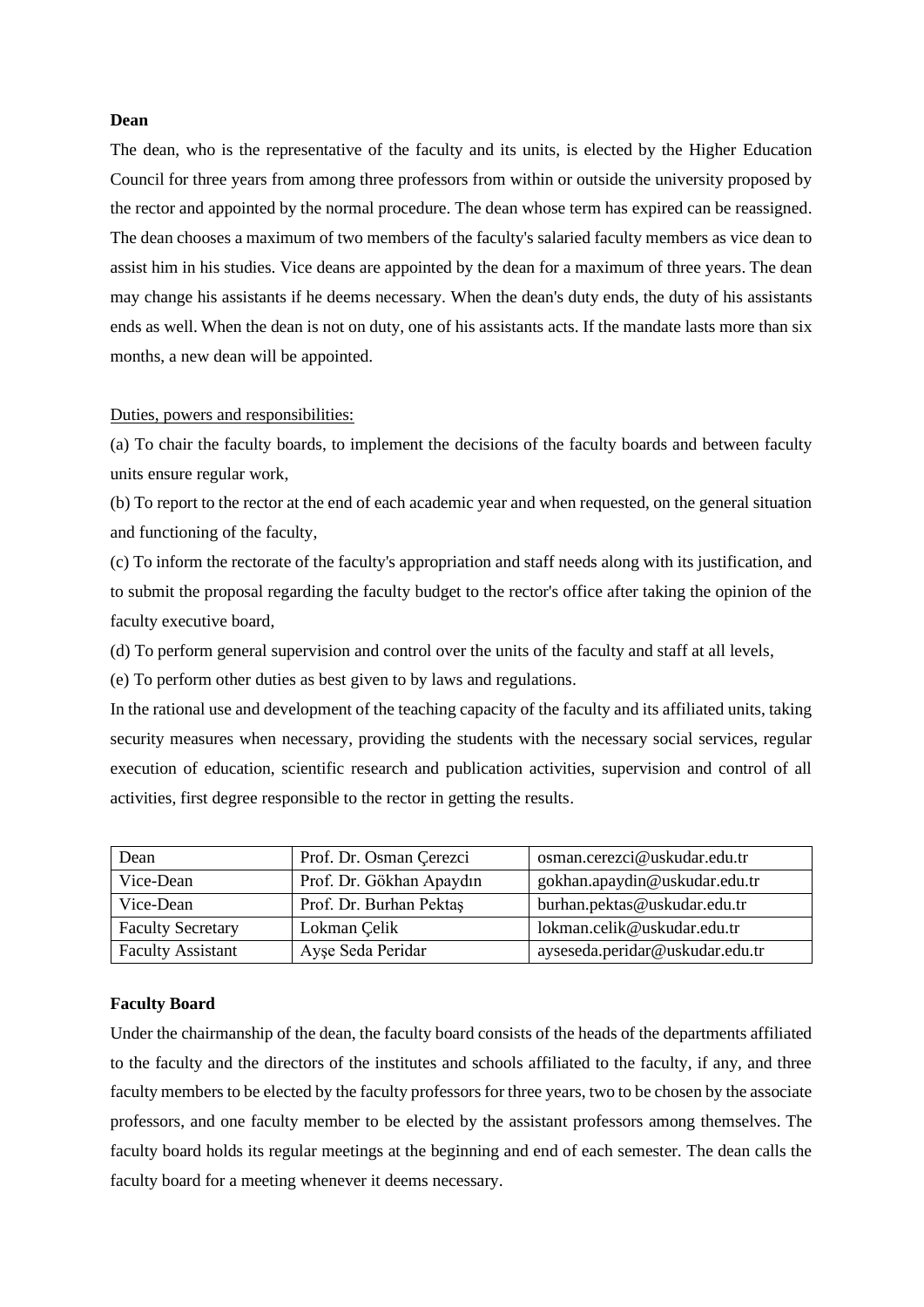#### **Dean**

The dean, who is the representative of the faculty and its units, is elected by the Higher Education Council for three years from among three professors from within or outside the university proposed by the rector and appointed by the normal procedure. The dean whose term has expired can be reassigned. The dean chooses a maximum of two members of the faculty's salaried faculty members as vice dean to assist him in his studies. Vice deans are appointed by the dean for a maximum of three years. The dean may change his assistants if he deems necessary. When the dean's duty ends, the duty of his assistants ends as well. When the dean is not on duty, one of his assistants acts. If the mandate lasts more than six months, a new dean will be appointed.

#### Duties, powers and responsibilities:

(a) To chair the faculty boards, to implement the decisions of the faculty boards and between faculty units ensure regular work,

(b) To report to the rector at the end of each academic year and when requested, on the general situation and functioning of the faculty,

(c) To inform the rectorate of the faculty's appropriation and staff needs along with its justification, and to submit the proposal regarding the faculty budget to the rector's office after taking the opinion of the faculty executive board,

(d) To perform general supervision and control over the units of the faculty and staff at all levels,

(e) To perform other duties as best given to by laws and regulations.

In the rational use and development of the teaching capacity of the faculty and its affiliated units, taking security measures when necessary, providing the students with the necessary social services, regular execution of education, scientific research and publication activities, supervision and control of all activities, first degree responsible to the rector in getting the results.

| Dean                     | Prof. Dr. Osman Çerezci  | osman.cerezci@uskudar.edu.tr    |
|--------------------------|--------------------------|---------------------------------|
| Vice-Dean                | Prof. Dr. Gökhan Apaydın | gokhan.apaydin@uskudar.edu.tr   |
| Vice-Dean                | Prof. Dr. Burhan Pektas  | burhan.pektas@uskudar.edu.tr    |
| <b>Faculty Secretary</b> | Lokman Celik             | lokman.celik@uskudar.edu.tr     |
| <b>Faculty Assistant</b> | Ayşe Seda Peridar        | ayseseda.peridar@uskudar.edu.tr |

#### **Faculty Board**

Under the chairmanship of the dean, the faculty board consists of the heads of the departments affiliated to the faculty and the directors of the institutes and schools affiliated to the faculty, if any, and three faculty members to be elected by the faculty professors for three years, two to be chosen by the associate professors, and one faculty member to be elected by the assistant professors among themselves. The faculty board holds its regular meetings at the beginning and end of each semester. The dean calls the faculty board for a meeting whenever it deems necessary.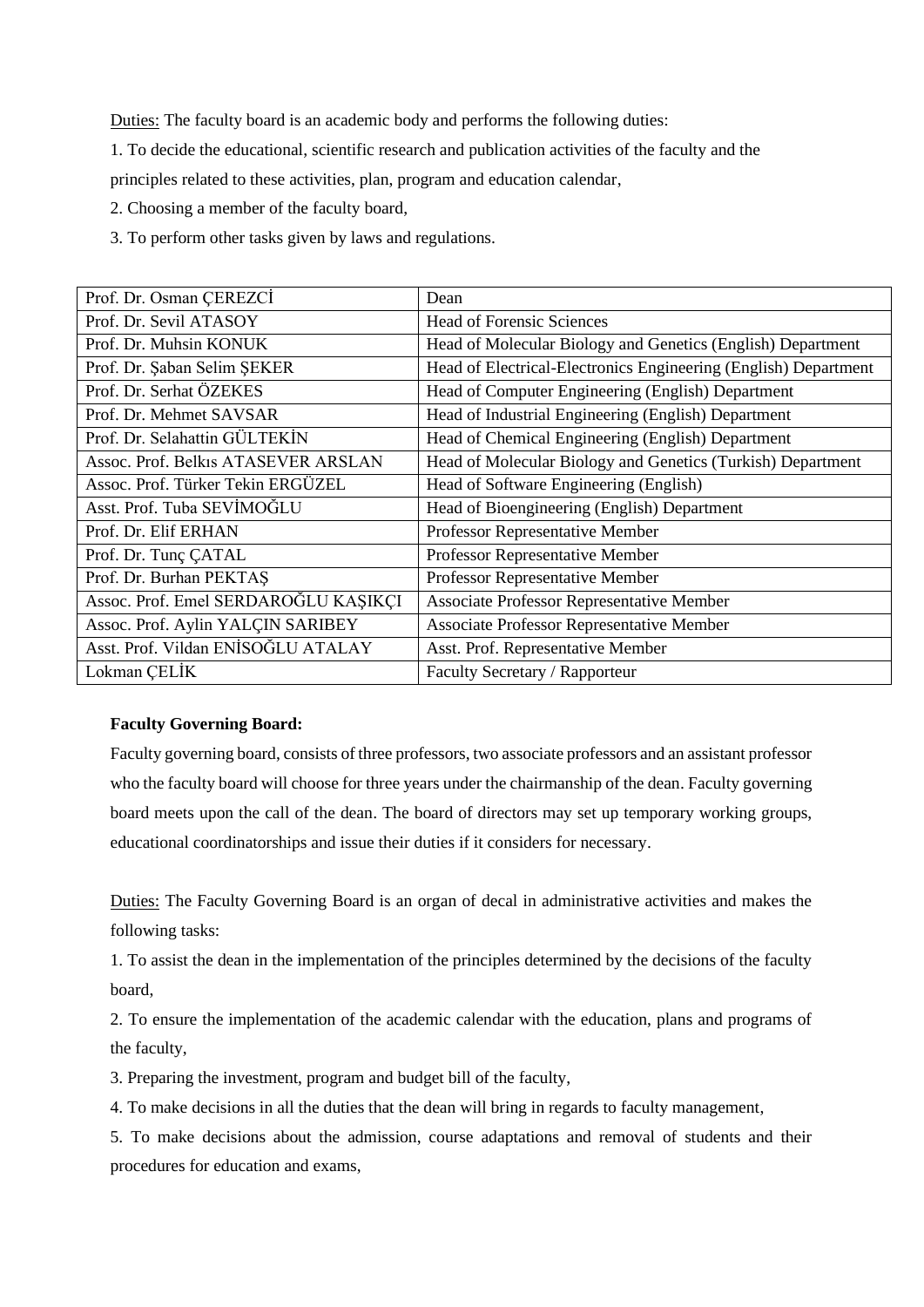Duties: The faculty board is an academic body and performs the following duties:

1. To decide the educational, scientific research and publication activities of the faculty and the

principles related to these activities, plan, program and education calendar,

2. Choosing a member of the faculty board,

3. To perform other tasks given by laws and regulations.

| Prof. Dr. Osman CEREZCİ              | Dean                                                            |
|--------------------------------------|-----------------------------------------------------------------|
| Prof. Dr. Sevil ATASOY               | <b>Head of Forensic Sciences</b>                                |
| Prof. Dr. Muhsin KONUK               | Head of Molecular Biology and Genetics (English) Department     |
| Prof. Dr. Şaban Selim ŞEKER          | Head of Electrical-Electronics Engineering (English) Department |
| Prof. Dr. Serhat ÖZEKES              | Head of Computer Engineering (English) Department               |
| Prof. Dr. Mehmet SAVSAR              | Head of Industrial Engineering (English) Department             |
| Prof. Dr. Selahattin GÜLTEKİN        | Head of Chemical Engineering (English) Department               |
| Assoc. Prof. Belkis ATASEVER ARSLAN  | Head of Molecular Biology and Genetics (Turkish) Department     |
| Assoc. Prof. Türker Tekin ERGÜZEL    | Head of Software Engineering (English)                          |
| Asst. Prof. Tuba SEVİMOĞLU           | Head of Bioengineering (English) Department                     |
| Prof. Dr. Elif ERHAN                 | Professor Representative Member                                 |
| Prof. Dr. Tunç ÇATAL                 | Professor Representative Member                                 |
| Prof. Dr. Burhan PEKTAS              | Professor Representative Member                                 |
| Assoc. Prof. Emel SERDAROĞLU KAŞIKÇI | <b>Associate Professor Representative Member</b>                |
| Assoc. Prof. Aylin YALÇIN SARIBEY    | Associate Professor Representative Member                       |
| Asst. Prof. Vildan ENİSOĞLU ATALAY   | Asst. Prof. Representative Member                               |
| Lokman CELİK                         | Faculty Secretary / Rapporteur                                  |

#### **Faculty Governing Board:**

Faculty governing board, consists of three professors, two associate professors and an assistant professor who the faculty board will choose for three years under the chairmanship of the dean. Faculty governing board meets upon the call of the dean. The board of directors may set up temporary working groups, educational coordinatorships and issue their duties if it considers for necessary.

Duties: The Faculty Governing Board is an organ of decal in administrative activities and makes the following tasks:

1. To assist the dean in the implementation of the principles determined by the decisions of the faculty board,

2. To ensure the implementation of the academic calendar with the education, plans and programs of the faculty,

3. Preparing the investment, program and budget bill of the faculty,

4. To make decisions in all the duties that the dean will bring in regards to faculty management,

5. To make decisions about the admission, course adaptations and removal of students and their procedures for education and exams,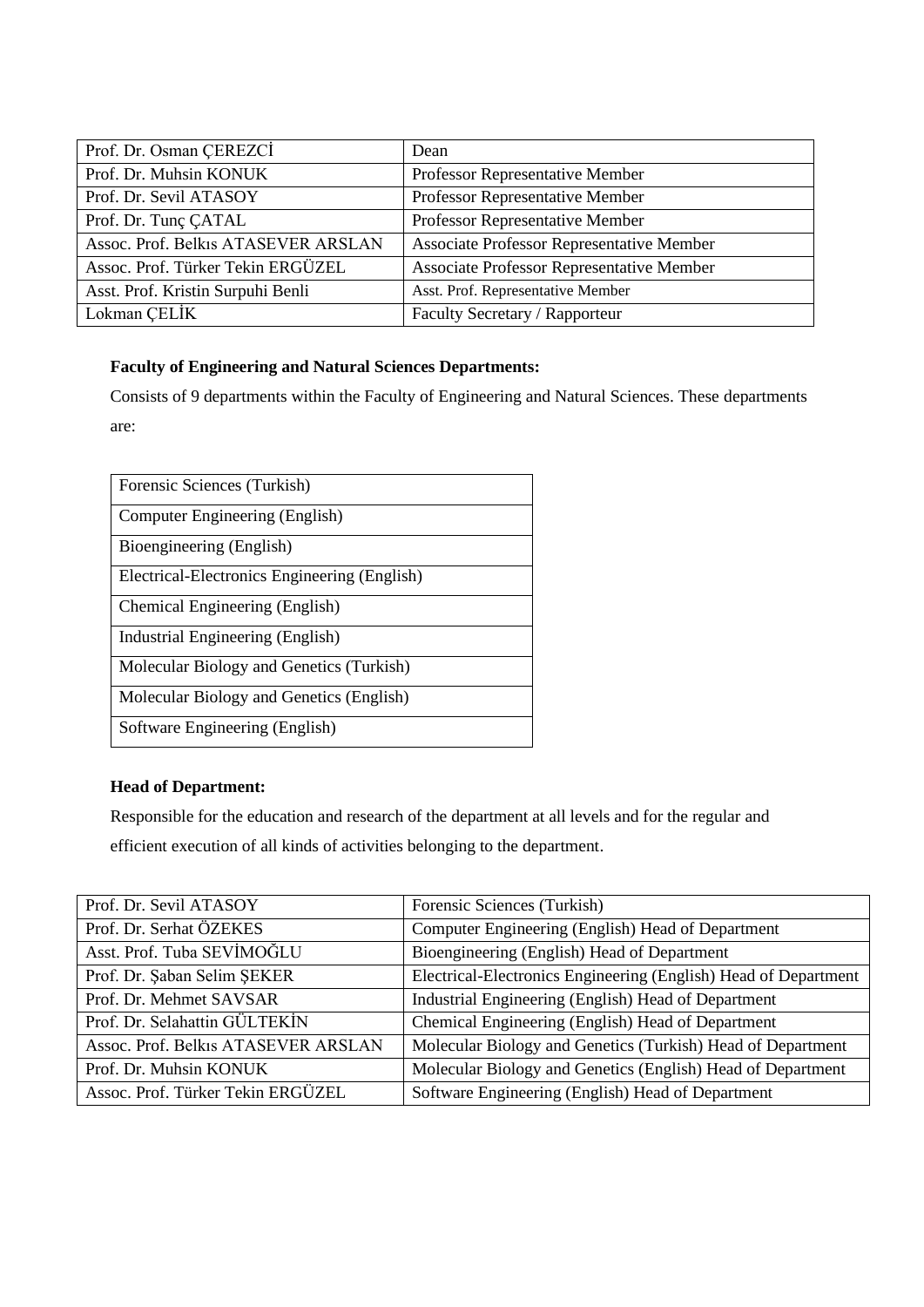| Prof. Dr. Osman ÇEREZCİ             | Dean                                             |
|-------------------------------------|--------------------------------------------------|
| Prof. Dr. Muhsin KONUK              | Professor Representative Member                  |
| Prof. Dr. Sevil ATASOY              | Professor Representative Member                  |
| Prof. Dr. Tunç CATAL                | Professor Representative Member                  |
| Assoc. Prof. Belkis ATASEVER ARSLAN | <b>Associate Professor Representative Member</b> |
| Assoc. Prof. Türker Tekin ERGÜZEL   | Associate Professor Representative Member        |
| Asst. Prof. Kristin Surpuhi Benli   | Asst. Prof. Representative Member                |
| Lokman ÇELİK                        | Faculty Secretary / Rapporteur                   |

## **Faculty of Engineering and Natural Sciences Departments:**

Consists of 9 departments within the Faculty of Engineering and Natural Sciences. These departments are:

| Forensic Sciences (Turkish)                  |
|----------------------------------------------|
| Computer Engineering (English)               |
| Bioengineering (English)                     |
| Electrical-Electronics Engineering (English) |
| Chemical Engineering (English)               |
| Industrial Engineering (English)             |
| Molecular Biology and Genetics (Turkish)     |
| Molecular Biology and Genetics (English)     |
| Software Engineering (English)               |

# **Head of Department:**

Responsible for the education and research of the department at all levels and for the regular and

efficient execution of all kinds of activities belonging to the department.

| Prof. Dr. Sevil ATASOY              | Forensic Sciences (Turkish)                                     |
|-------------------------------------|-----------------------------------------------------------------|
| Prof. Dr. Serhat ÖZEKES             | Computer Engineering (English) Head of Department               |
| Asst. Prof. Tuba SEVIMOĞLU          | Bioengineering (English) Head of Department                     |
| Prof. Dr. Şaban Selim ŞEKER         | Electrical-Electronics Engineering (English) Head of Department |
| Prof. Dr. Mehmet SAVSAR             | Industrial Engineering (English) Head of Department             |
| Prof. Dr. Selahattin GÜLTEKİN       | Chemical Engineering (English) Head of Department               |
| Assoc. Prof. Belkis ATASEVER ARSLAN | Molecular Biology and Genetics (Turkish) Head of Department     |
| Prof. Dr. Muhsin KONUK              | Molecular Biology and Genetics (English) Head of Department     |
| Assoc. Prof. Türker Tekin ERGÜZEL   | Software Engineering (English) Head of Department               |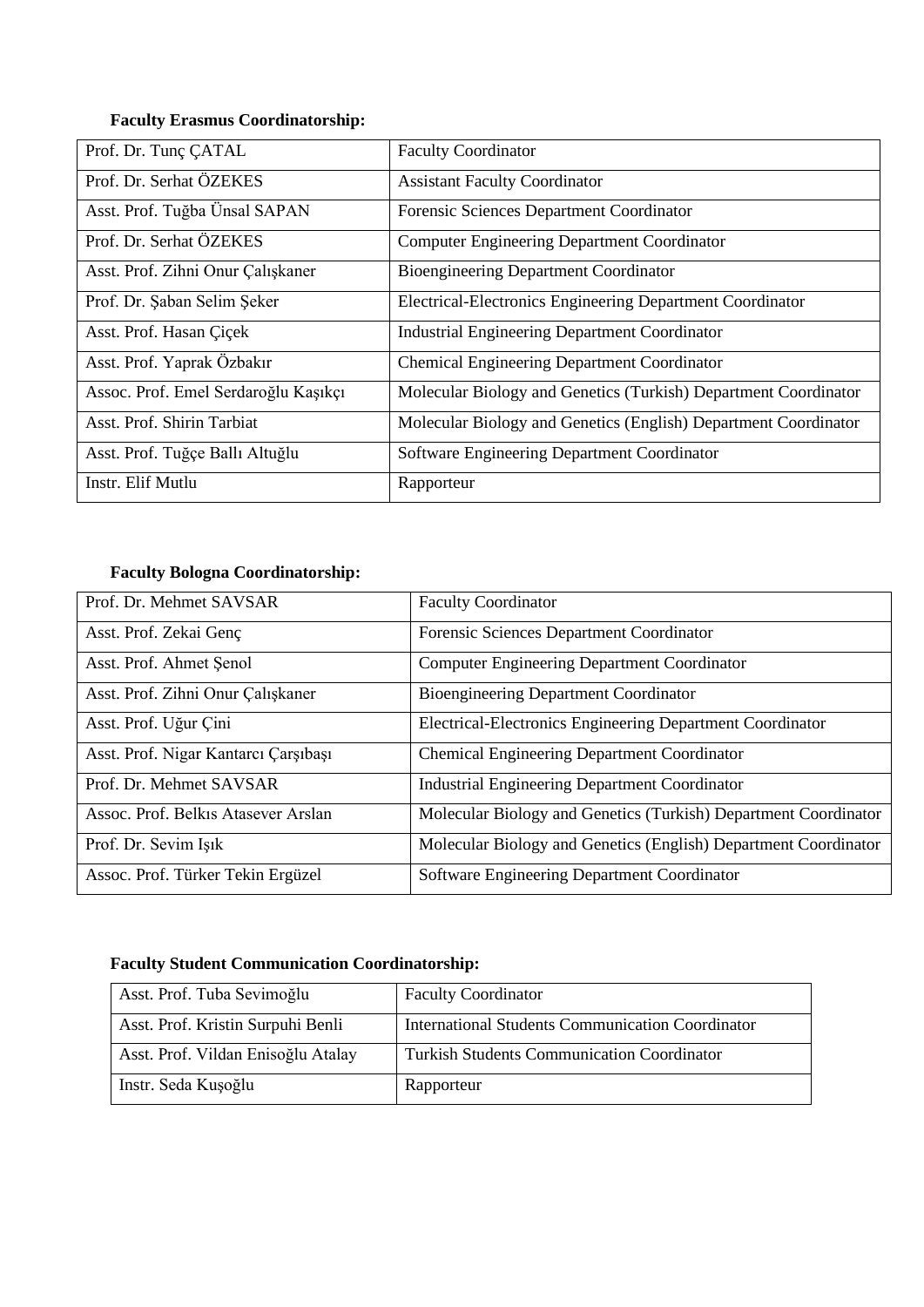# **Faculty Erasmus Coordinatorship:**

| Prof. Dr. Tunç CATAL                 | <b>Faculty Coordinator</b>                                      |
|--------------------------------------|-----------------------------------------------------------------|
| Prof. Dr. Serhat ÖZEKES              | <b>Assistant Faculty Coordinator</b>                            |
| Asst. Prof. Tuğba Ünsal SAPAN        | Forensic Sciences Department Coordinator                        |
| Prof. Dr. Serhat OZEKES              | <b>Computer Engineering Department Coordinator</b>              |
| Asst. Prof. Zihni Onur Çalışkaner    | <b>Bioengineering Department Coordinator</b>                    |
| Prof. Dr. Şaban Selim Şeker          | Electrical-Electronics Engineering Department Coordinator       |
| Asst. Prof. Hasan Çiçek              | <b>Industrial Engineering Department Coordinator</b>            |
| Asst. Prof. Yaprak Özbakır           | <b>Chemical Engineering Department Coordinator</b>              |
| Assoc. Prof. Emel Serdaroğlu Kaşıkçı | Molecular Biology and Genetics (Turkish) Department Coordinator |
| Asst. Prof. Shirin Tarbiat           | Molecular Biology and Genetics (English) Department Coordinator |
| Asst. Prof. Tuğçe Ballı Altuğlu      | Software Engineering Department Coordinator                     |
| Instr. Elif Mutlu                    | Rapporteur                                                      |

# **Faculty Bologna Coordinatorship:**

| Prof. Dr. Mehmet SAVSAR              | <b>Faculty Coordinator</b>                                       |
|--------------------------------------|------------------------------------------------------------------|
| Asst. Prof. Zekai Genç               | Forensic Sciences Department Coordinator                         |
| Asst. Prof. Ahmet Senol              | <b>Computer Engineering Department Coordinator</b>               |
| Asst. Prof. Zihni Onur Çalışkaner    | <b>Bioengineering Department Coordinator</b>                     |
| Asst. Prof. Uğur Çini                | <b>Electrical-Electronics Engineering Department Coordinator</b> |
| Asst. Prof. Nigar Kantarcı Çarşıbaşı | <b>Chemical Engineering Department Coordinator</b>               |
| Prof. Dr. Mehmet SAVSAR              | <b>Industrial Engineering Department Coordinator</b>             |
| Assoc. Prof. Belkis Atasever Arslan  | Molecular Biology and Genetics (Turkish) Department Coordinator  |
| Prof. Dr. Sevim Işık                 | Molecular Biology and Genetics (English) Department Coordinator  |
| Assoc. Prof. Türker Tekin Ergüzel    | Software Engineering Department Coordinator                      |

# **Faculty Student Communication Coordinatorship:**

| Asst. Prof. Tuba Sevimoğlu         | <b>Faculty Coordinator</b>                              |
|------------------------------------|---------------------------------------------------------|
| Asst. Prof. Kristin Surpuhi Benli  | <b>International Students Communication Coordinator</b> |
| Asst. Prof. Vildan Enisoğlu Atalay | <b>Turkish Students Communication Coordinator</b>       |
| Instr. Seda Kuşoğlu                | Rapporteur                                              |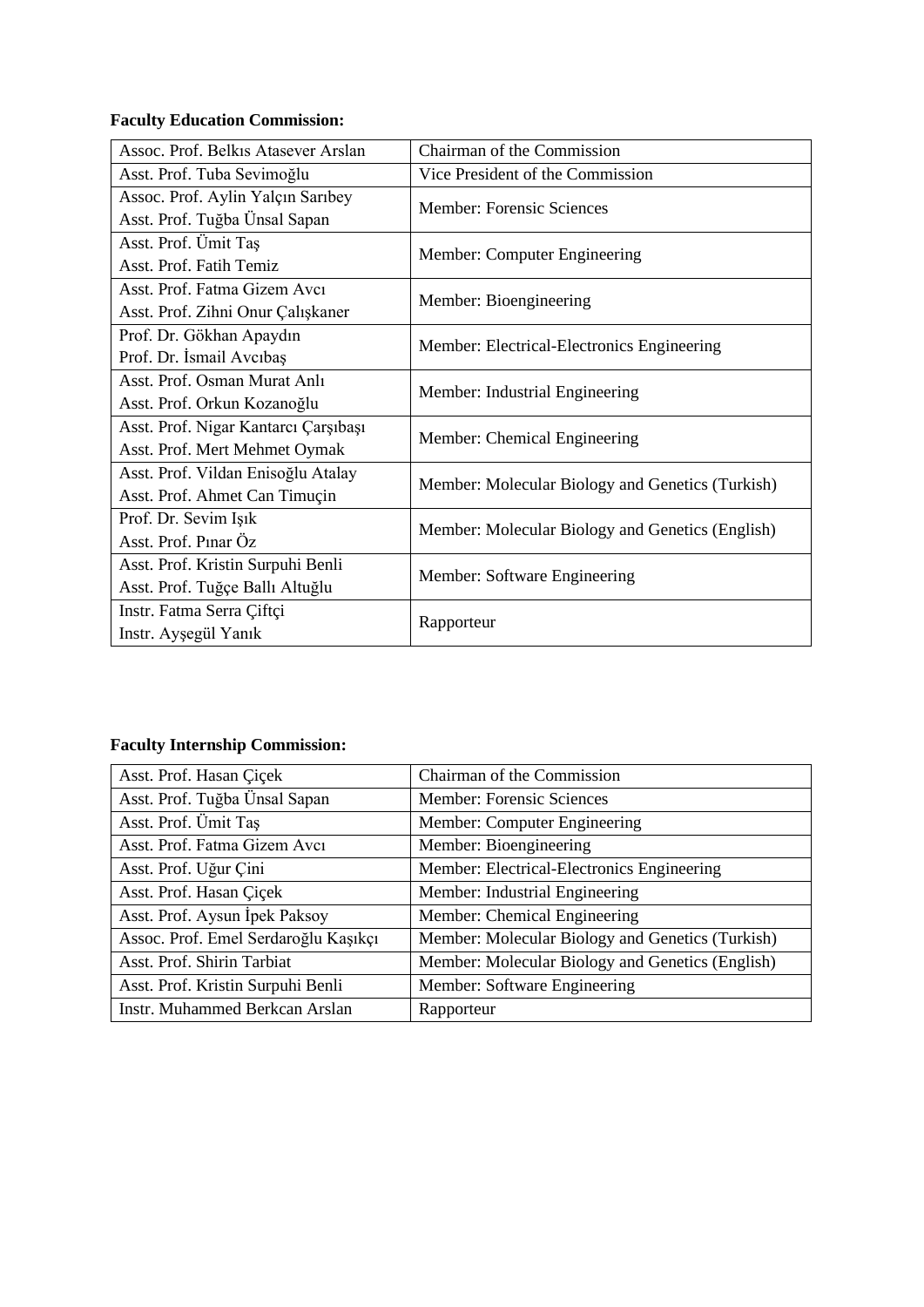# **Faculty Education Commission:**

| Assoc. Prof. Belkis Atasever Arslan                                   | Chairman of the Commission                       |
|-----------------------------------------------------------------------|--------------------------------------------------|
| Asst. Prof. Tuba Sevimoğlu                                            | Vice President of the Commission                 |
| Assoc. Prof. Aylin Yalçın Sarıbey<br>Asst. Prof. Tuğba Ünsal Sapan    | <b>Member: Forensic Sciences</b>                 |
| Asst. Prof. Ümit Taş<br>Asst. Prof. Fatih Temiz                       | Member: Computer Engineering                     |
| Asst. Prof. Fatma Gizem Avcı<br>Asst. Prof. Zihni Onur Çalışkaner     | Member: Bioengineering                           |
| Prof. Dr. Gökhan Apaydın<br>Prof. Dr. İsmail Avcıbaş                  | Member: Electrical-Electronics Engineering       |
| Asst. Prof. Osman Murat Anlı<br>Asst. Prof. Orkun Kozanoğlu           | Member: Industrial Engineering                   |
| Asst. Prof. Nigar Kantarcı Çarşıbaşı<br>Asst. Prof. Mert Mehmet Oymak | Member: Chemical Engineering                     |
| Asst. Prof. Vildan Enisoğlu Atalay<br>Asst. Prof. Ahmet Can Timuçin   | Member: Molecular Biology and Genetics (Turkish) |
| Prof. Dr. Sevim Işık<br>Asst. Prof. Pinar Öz                          | Member: Molecular Biology and Genetics (English) |
| Asst. Prof. Kristin Surpuhi Benli<br>Asst. Prof. Tuğçe Ballı Altuğlu  | Member: Software Engineering                     |
| Instr. Fatma Serra Çiftçi<br>Instr. Ayşegül Yanık                     | Rapporteur                                       |

# **Faculty Internship Commission:**

| Asst. Prof. Hasan Çiçek               | Chairman of the Commission                       |
|---------------------------------------|--------------------------------------------------|
| Asst. Prof. Tuğba Ünsal Sapan         | Member: Forensic Sciences                        |
| Asst. Prof. Ümit Taş                  | Member: Computer Engineering                     |
| Asst. Prof. Fatma Gizem Avcı          | Member: Bioengineering                           |
| Asst. Prof. Uğur Çini                 | Member: Electrical-Electronics Engineering       |
| Asst. Prof. Hasan Çiçek               | Member: Industrial Engineering                   |
| Asst. Prof. Aysun Ipek Paksoy         | Member: Chemical Engineering                     |
| Assoc. Prof. Emel Serdaroğlu Kaşıkçı  | Member: Molecular Biology and Genetics (Turkish) |
| Asst. Prof. Shirin Tarbiat            | Member: Molecular Biology and Genetics (English) |
| Asst. Prof. Kristin Surpuhi Benli     | Member: Software Engineering                     |
| <b>Instr. Muhammed Berkcan Arslan</b> | Rapporteur                                       |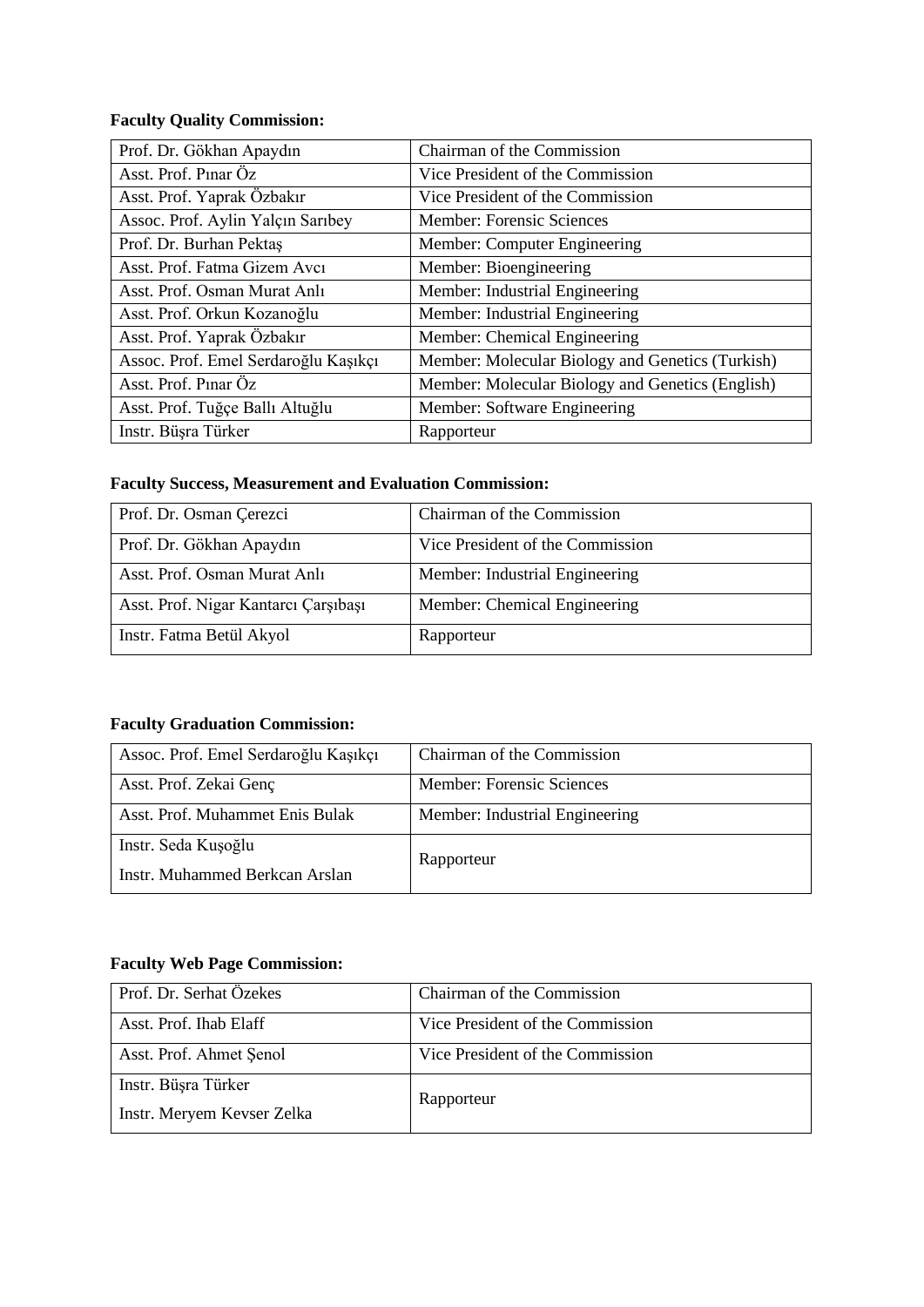# **Faculty Quality Commission:**

| Prof. Dr. Gökhan Apaydın             | Chairman of the Commission                       |
|--------------------------------------|--------------------------------------------------|
| Asst. Prof. Pinar Öz                 | Vice President of the Commission                 |
| Asst. Prof. Yaprak Özbakır           | Vice President of the Commission                 |
| Assoc. Prof. Aylin Yalçın Sarıbey    | <b>Member: Forensic Sciences</b>                 |
| Prof. Dr. Burhan Pektas              | Member: Computer Engineering                     |
| Asst. Prof. Fatma Gizem Avcı         | Member: Bioengineering                           |
| Asst. Prof. Osman Murat Anlı         | Member: Industrial Engineering                   |
| Asst. Prof. Orkun Kozanoğlu          | Member: Industrial Engineering                   |
| Asst. Prof. Yaprak Özbakır           | Member: Chemical Engineering                     |
| Assoc. Prof. Emel Serdaroğlu Kaşıkçı | Member: Molecular Biology and Genetics (Turkish) |
| Asst. Prof. Pinar Öz                 | Member: Molecular Biology and Genetics (English) |
| Asst. Prof. Tuğçe Ballı Altuğlu      | Member: Software Engineering                     |
| Instr. Büşra Türker                  | Rapporteur                                       |

## **Faculty Success, Measurement and Evaluation Commission:**

| Prof. Dr. Osman Çerezci              | Chairman of the Commission       |
|--------------------------------------|----------------------------------|
| Prof. Dr. Gökhan Apaydın             | Vice President of the Commission |
| Asst. Prof. Osman Murat Anlı         | Member: Industrial Engineering   |
| Asst. Prof. Nigar Kantarcı Çarşıbaşı | Member: Chemical Engineering     |
| Instr. Fatma Betül Akyol             | Rapporteur                       |

# **Faculty Graduation Commission:**

| Assoc. Prof. Emel Serdaroğlu Kaşıkçı | Chairman of the Commission     |
|--------------------------------------|--------------------------------|
| Asst. Prof. Zekai Genç               | Member: Forensic Sciences      |
| Asst. Prof. Muhammet Enis Bulak      | Member: Industrial Engineering |
| Instr. Seda Kuşoğlu                  | Rapporteur                     |
| Instr. Muhammed Berkcan Arslan       |                                |

# **Faculty Web Page Commission:**

| Prof. Dr. Serhat Özekes    | Chairman of the Commission       |
|----------------------------|----------------------------------|
| Asst. Prof. Ihab Elaff     | Vice President of the Commission |
| Asst. Prof. Ahmet Senol    | Vice President of the Commission |
| Instr. Büşra Türker        | Rapporteur                       |
| Instr. Meryem Kevser Zelka |                                  |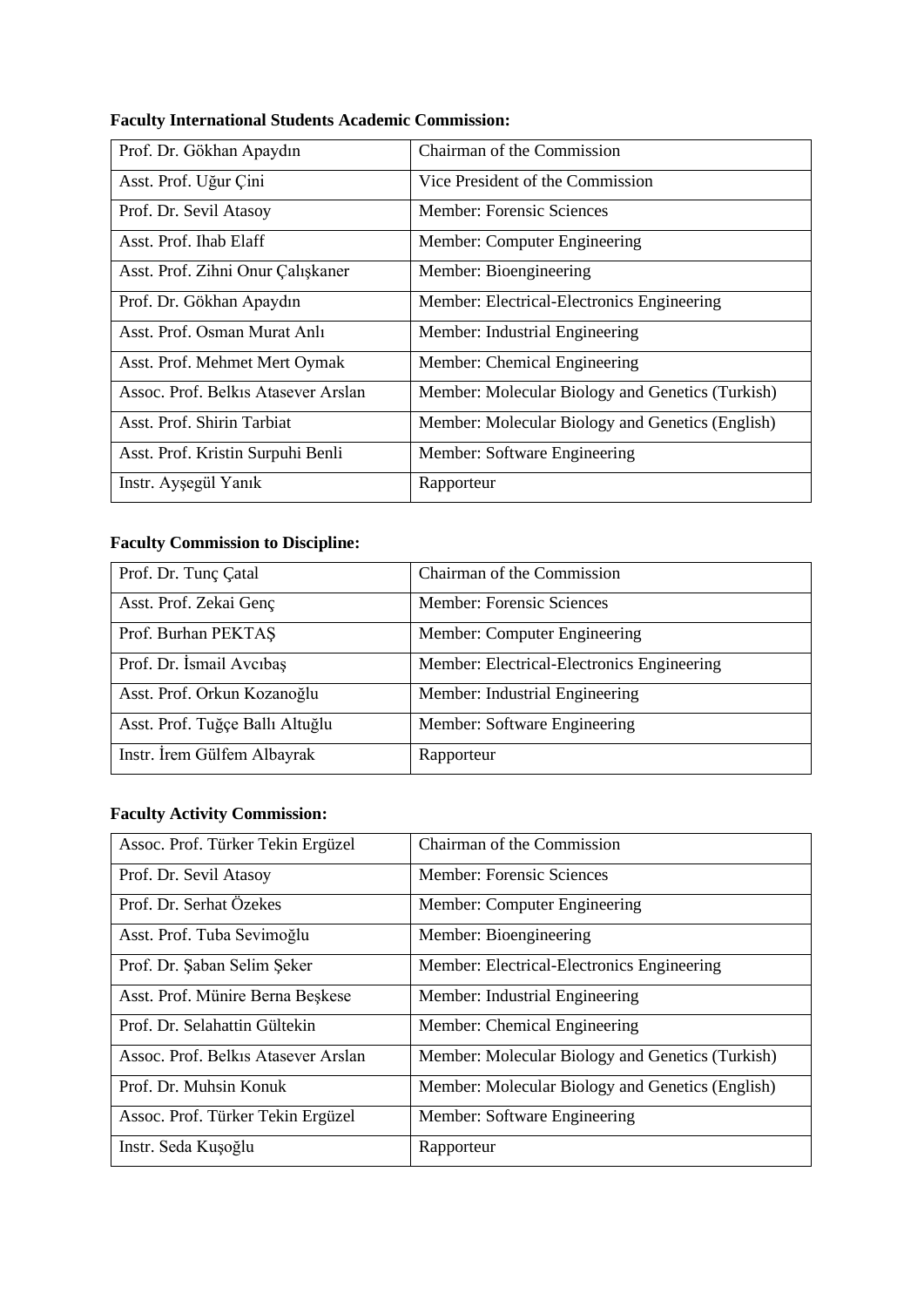| <b>Faculty International Students Academic Commission:</b> |  |
|------------------------------------------------------------|--|
|------------------------------------------------------------|--|

| Prof. Dr. Gökhan Apaydın            | Chairman of the Commission                       |
|-------------------------------------|--------------------------------------------------|
| Asst. Prof. Uğur Çini               | Vice President of the Commission                 |
| Prof. Dr. Sevil Atasoy              | <b>Member: Forensic Sciences</b>                 |
| Asst. Prof. Ihab Elaff              | Member: Computer Engineering                     |
| Asst. Prof. Zihni Onur Çalışkaner   | Member: Bioengineering                           |
| Prof. Dr. Gökhan Apaydın            | Member: Electrical-Electronics Engineering       |
| Asst. Prof. Osman Murat Anlı        | Member: Industrial Engineering                   |
| Asst. Prof. Mehmet Mert Oymak       | Member: Chemical Engineering                     |
| Assoc. Prof. Belkis Atasever Arslan | Member: Molecular Biology and Genetics (Turkish) |
| Asst. Prof. Shirin Tarbiat          | Member: Molecular Biology and Genetics (English) |
| Asst. Prof. Kristin Surpuhi Benli   | Member: Software Engineering                     |
| Instr. Ayşegül Yanık                | Rapporteur                                       |

# **Faculty Commission to Discipline:**

| Prof. Dr. Tunç Çatal            | Chairman of the Commission                 |
|---------------------------------|--------------------------------------------|
| Asst. Prof. Zekai Genç          | Member: Forensic Sciences                  |
| Prof. Burhan PEKTAS             | Member: Computer Engineering               |
| Prof. Dr. İsmail Avcıbaş        | Member: Electrical-Electronics Engineering |
| Asst. Prof. Orkun Kozanoğlu     | Member: Industrial Engineering             |
| Asst. Prof. Tuğçe Ballı Altuğlu | Member: Software Engineering               |
| Instr. Irem Gülfem Albayrak     | Rapporteur                                 |

# **Faculty Activity Commission:**

| Assoc. Prof. Türker Tekin Ergüzel   | Chairman of the Commission                       |
|-------------------------------------|--------------------------------------------------|
| Prof. Dr. Sevil Atasoy              | Member: Forensic Sciences                        |
| Prof. Dr. Serhat Özekes             | Member: Computer Engineering                     |
| Asst. Prof. Tuba Sevimoğlu          | Member: Bioengineering                           |
| Prof. Dr. Şaban Selim Şeker         | Member: Electrical-Electronics Engineering       |
| Asst. Prof. Münire Berna Beşkese    | Member: Industrial Engineering                   |
| Prof. Dr. Selahattin Gültekin       | Member: Chemical Engineering                     |
| Assoc. Prof. Belkis Atasever Arslan | Member: Molecular Biology and Genetics (Turkish) |
| Prof. Dr. Muhsin Konuk              | Member: Molecular Biology and Genetics (English) |
| Assoc. Prof. Türker Tekin Ergüzel   | Member: Software Engineering                     |
| Instr. Seda Kuşoğlu                 | Rapporteur                                       |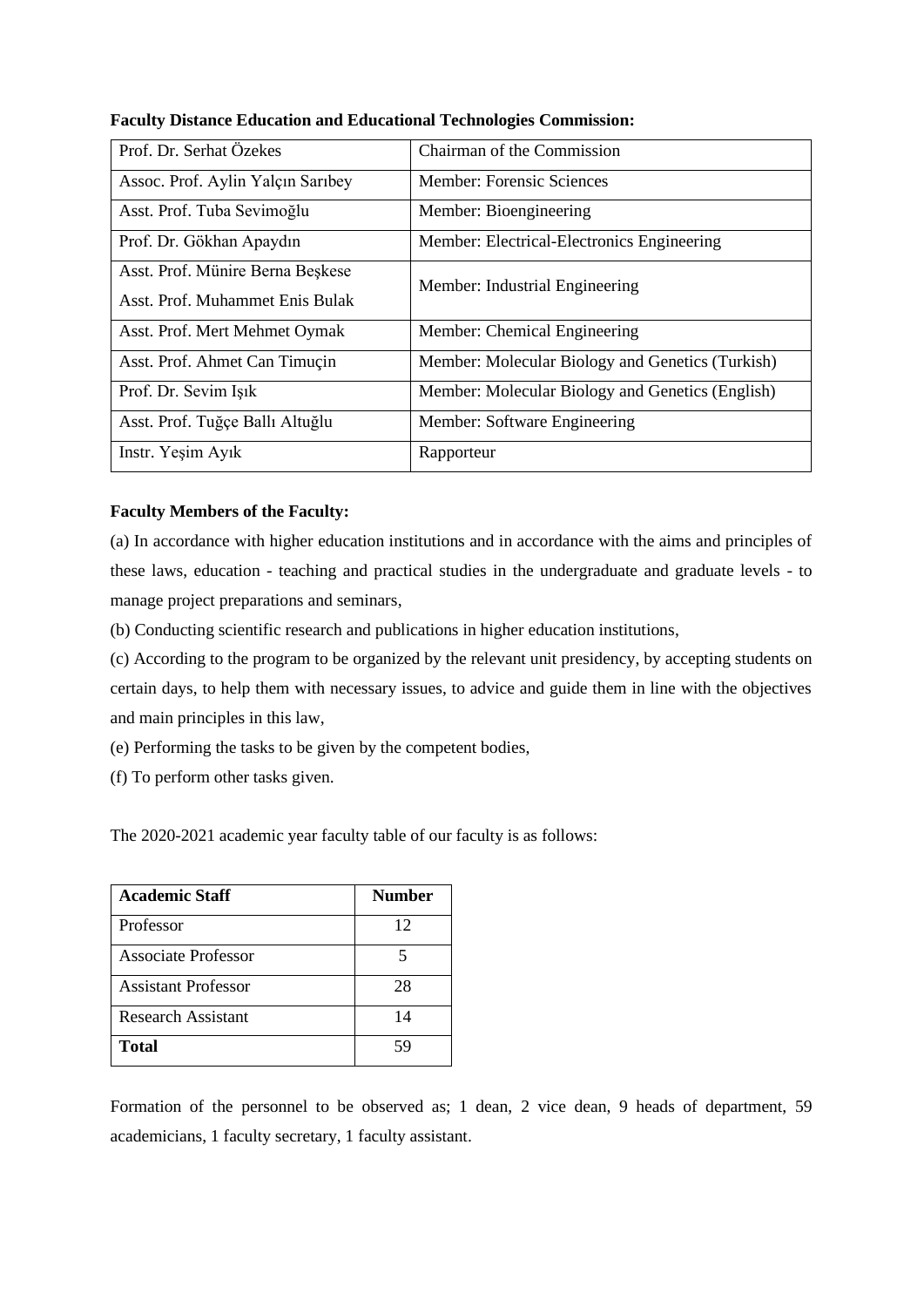| Prof. Dr. Serhat Özekes           | Chairman of the Commission                       |
|-----------------------------------|--------------------------------------------------|
| Assoc. Prof. Aylin Yalçın Sarıbey | Member: Forensic Sciences                        |
| Asst. Prof. Tuba Sevimoğlu        | Member: Bioengineering                           |
| Prof. Dr. Gökhan Apaydın          | Member: Electrical-Electronics Engineering       |
| Asst. Prof. Münire Berna Beşkese  | Member: Industrial Engineering                   |
| Asst. Prof. Muhammet Enis Bulak   |                                                  |
| Asst. Prof. Mert Mehmet Oymak     | Member: Chemical Engineering                     |
| Asst. Prof. Ahmet Can Timuçin     | Member: Molecular Biology and Genetics (Turkish) |
| Prof. Dr. Sevim Işık              | Member: Molecular Biology and Genetics (English) |
| Asst. Prof. Tuğçe Ballı Altuğlu   | Member: Software Engineering                     |
| Instr. Yeşim Ayık                 | Rapporteur                                       |

**Faculty Distance Education and Educational Technologies Commission:**

### **Faculty Members of the Faculty:**

(a) In accordance with higher education institutions and in accordance with the aims and principles of these laws, education - teaching and practical studies in the undergraduate and graduate levels - to manage project preparations and seminars,

(b) Conducting scientific research and publications in higher education institutions,

(c) According to the program to be organized by the relevant unit presidency, by accepting students on certain days, to help them with necessary issues, to advice and guide them in line with the objectives and main principles in this law,

(e) Performing the tasks to be given by the competent bodies,

(f) To perform other tasks given.

The 2020-2021 academic year faculty table of our faculty is as follows:

| <b>Academic Staff</b>      | <b>Number</b> |
|----------------------------|---------------|
| Professor                  | 12            |
| Associate Professor        | 5             |
| <b>Assistant Professor</b> | 28            |
| Research Assistant         | 14            |
| <b>Total</b>               | 59            |

Formation of the personnel to be observed as; 1 dean, 2 vice dean, 9 heads of department, 59 academicians, 1 faculty secretary, 1 faculty assistant.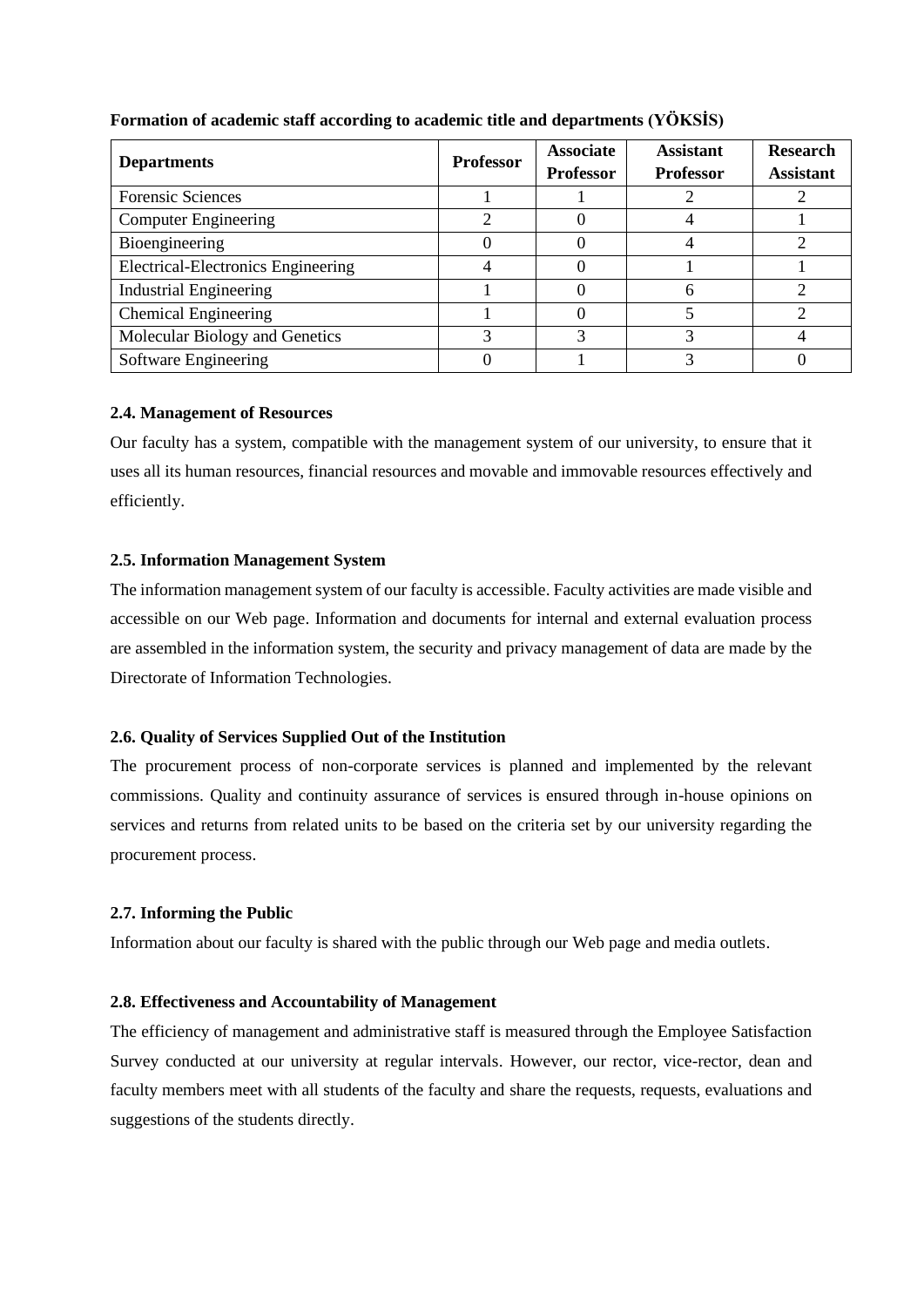| <b>Departments</b>                 | <b>Professor</b> | <b>Associate</b><br><b>Professor</b> | <b>Assistant</b><br><b>Professor</b> | <b>Research</b><br><b>Assistant</b> |
|------------------------------------|------------------|--------------------------------------|--------------------------------------|-------------------------------------|
| <b>Forensic Sciences</b>           |                  |                                      |                                      |                                     |
| <b>Computer Engineering</b>        |                  |                                      |                                      |                                     |
| Bioengineering                     |                  |                                      |                                      |                                     |
| Electrical-Electronics Engineering |                  |                                      |                                      |                                     |
| <b>Industrial Engineering</b>      |                  |                                      |                                      |                                     |
| <b>Chemical Engineering</b>        |                  |                                      |                                      |                                     |
| Molecular Biology and Genetics     |                  |                                      |                                      |                                     |
| Software Engineering               |                  |                                      |                                      |                                     |

## **Formation of academic staff according to academic title and departments (YÖKSİS)**

#### **2.4. Management of Resources**

Our faculty has a system, compatible with the management system of our university, to ensure that it uses all its human resources, financial resources and movable and immovable resources effectively and efficiently.

### **2.5. Information Management System**

The information management system of our faculty is accessible. Faculty activities are made visible and accessible on our Web page. Information and documents for internal and external evaluation process are assembled in the information system, the security and privacy management of data are made by the Directorate of Information Technologies.

## **2.6. Quality of Services Supplied Out of the Institution**

The procurement process of non-corporate services is planned and implemented by the relevant commissions. Quality and continuity assurance of services is ensured through in-house opinions on services and returns from related units to be based on the criteria set by our university regarding the procurement process.

#### **2.7. Informing the Public**

Information about our faculty is shared with the public through our Web page and media outlets.

#### **2.8. Effectiveness and Accountability of Management**

The efficiency of management and administrative staff is measured through the Employee Satisfaction Survey conducted at our university at regular intervals. However, our rector, vice-rector, dean and faculty members meet with all students of the faculty and share the requests, requests, evaluations and suggestions of the students directly.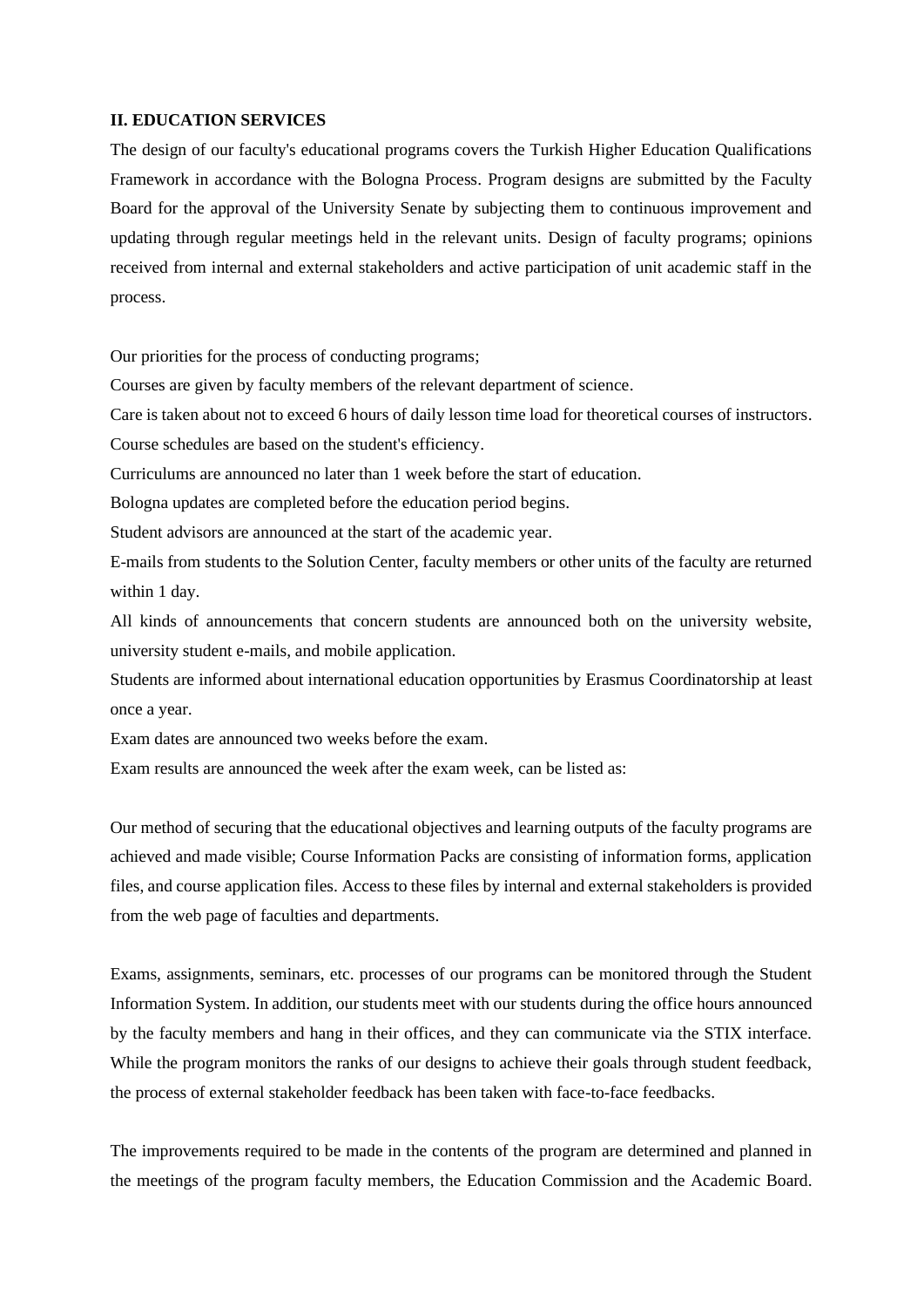#### **II. EDUCATION SERVICES**

The design of our faculty's educational programs covers the Turkish Higher Education Qualifications Framework in accordance with the Bologna Process. Program designs are submitted by the Faculty Board for the approval of the University Senate by subjecting them to continuous improvement and updating through regular meetings held in the relevant units. Design of faculty programs; opinions received from internal and external stakeholders and active participation of unit academic staff in the process.

Our priorities for the process of conducting programs;

Courses are given by faculty members of the relevant department of science.

Care is taken about not to exceed 6 hours of daily lesson time load for theoretical courses of instructors.

Course schedules are based on the student's efficiency.

Curriculums are announced no later than 1 week before the start of education.

Bologna updates are completed before the education period begins.

Student advisors are announced at the start of the academic year.

E-mails from students to the Solution Center, faculty members or other units of the faculty are returned within 1 day.

All kinds of announcements that concern students are announced both on the university website, university student e-mails, and mobile application.

Students are informed about international education opportunities by Erasmus Coordinatorship at least once a year.

Exam dates are announced two weeks before the exam.

Exam results are announced the week after the exam week, can be listed as:

Our method of securing that the educational objectives and learning outputs of the faculty programs are achieved and made visible; Course Information Packs are consisting of information forms, application files, and course application files. Access to these files by internal and external stakeholders is provided from the web page of faculties and departments.

Exams, assignments, seminars, etc. processes of our programs can be monitored through the Student Information System. In addition, our students meet with our students during the office hours announced by the faculty members and hang in their offices, and they can communicate via the STIX interface. While the program monitors the ranks of our designs to achieve their goals through student feedback, the process of external stakeholder feedback has been taken with face-to-face feedbacks.

The improvements required to be made in the contents of the program are determined and planned in the meetings of the program faculty members, the Education Commission and the Academic Board.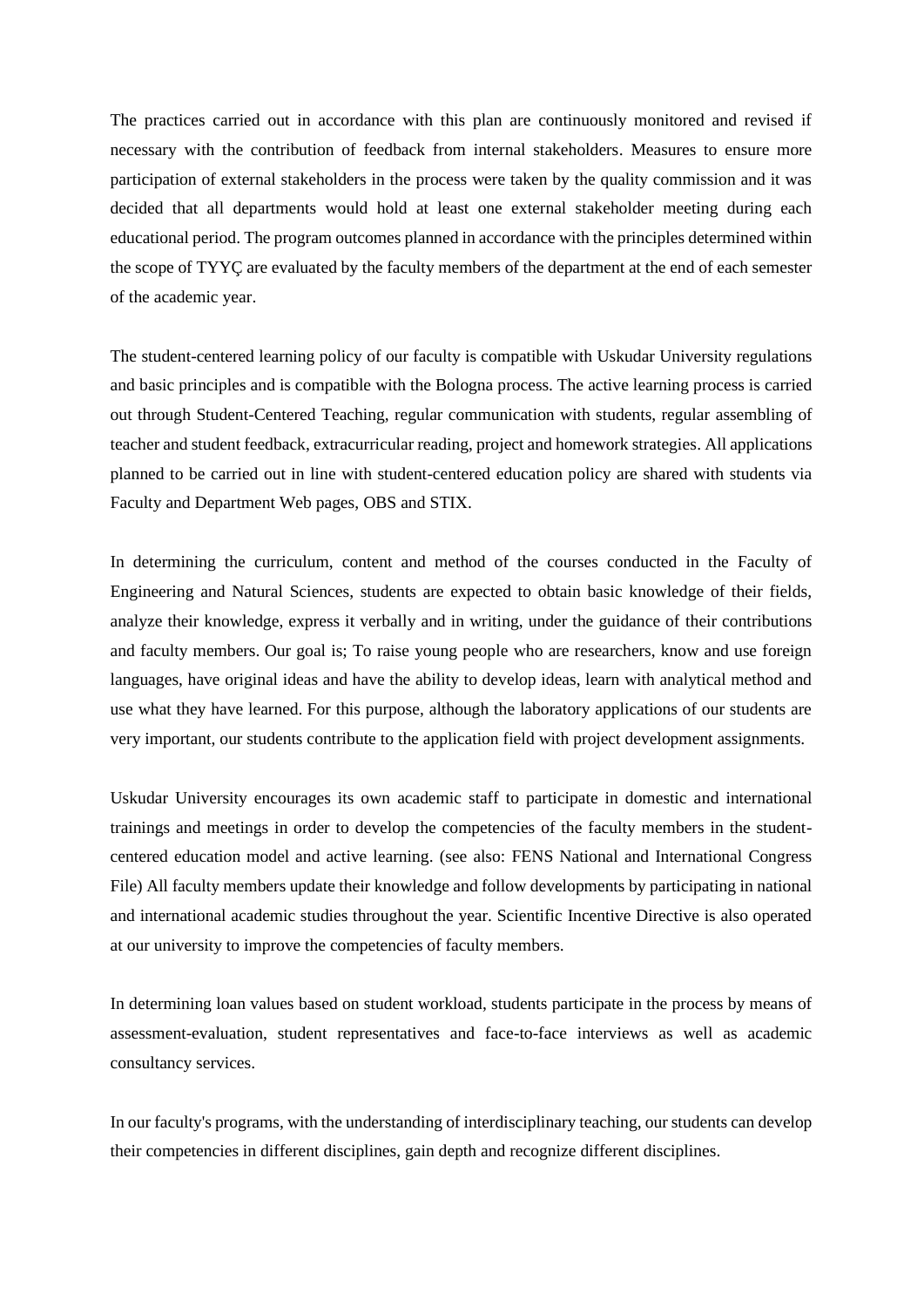The practices carried out in accordance with this plan are continuously monitored and revised if necessary with the contribution of feedback from internal stakeholders. Measures to ensure more participation of external stakeholders in the process were taken by the quality commission and it was decided that all departments would hold at least one external stakeholder meeting during each educational period. The program outcomes planned in accordance with the principles determined within the scope of TYYÇ are evaluated by the faculty members of the department at the end of each semester of the academic year.

The student-centered learning policy of our faculty is compatible with Uskudar University regulations and basic principles and is compatible with the Bologna process. The active learning process is carried out through Student-Centered Teaching, regular communication with students, regular assembling of teacher and student feedback, extracurricular reading, project and homework strategies. All applications planned to be carried out in line with student-centered education policy are shared with students via Faculty and Department Web pages, OBS and STIX.

In determining the curriculum, content and method of the courses conducted in the Faculty of Engineering and Natural Sciences, students are expected to obtain basic knowledge of their fields, analyze their knowledge, express it verbally and in writing, under the guidance of their contributions and faculty members. Our goal is; To raise young people who are researchers, know and use foreign languages, have original ideas and have the ability to develop ideas, learn with analytical method and use what they have learned. For this purpose, although the laboratory applications of our students are very important, our students contribute to the application field with project development assignments.

Uskudar University encourages its own academic staff to participate in domestic and international trainings and meetings in order to develop the competencies of the faculty members in the studentcentered education model and active learning. (see also: FENS National and International Congress File) All faculty members update their knowledge and follow developments by participating in national and international academic studies throughout the year. Scientific Incentive Directive is also operated at our university to improve the competencies of faculty members.

In determining loan values based on student workload, students participate in the process by means of assessment-evaluation, student representatives and face-to-face interviews as well as academic consultancy services.

In our faculty's programs, with the understanding of interdisciplinary teaching, our students can develop their competencies in different disciplines, gain depth and recognize different disciplines.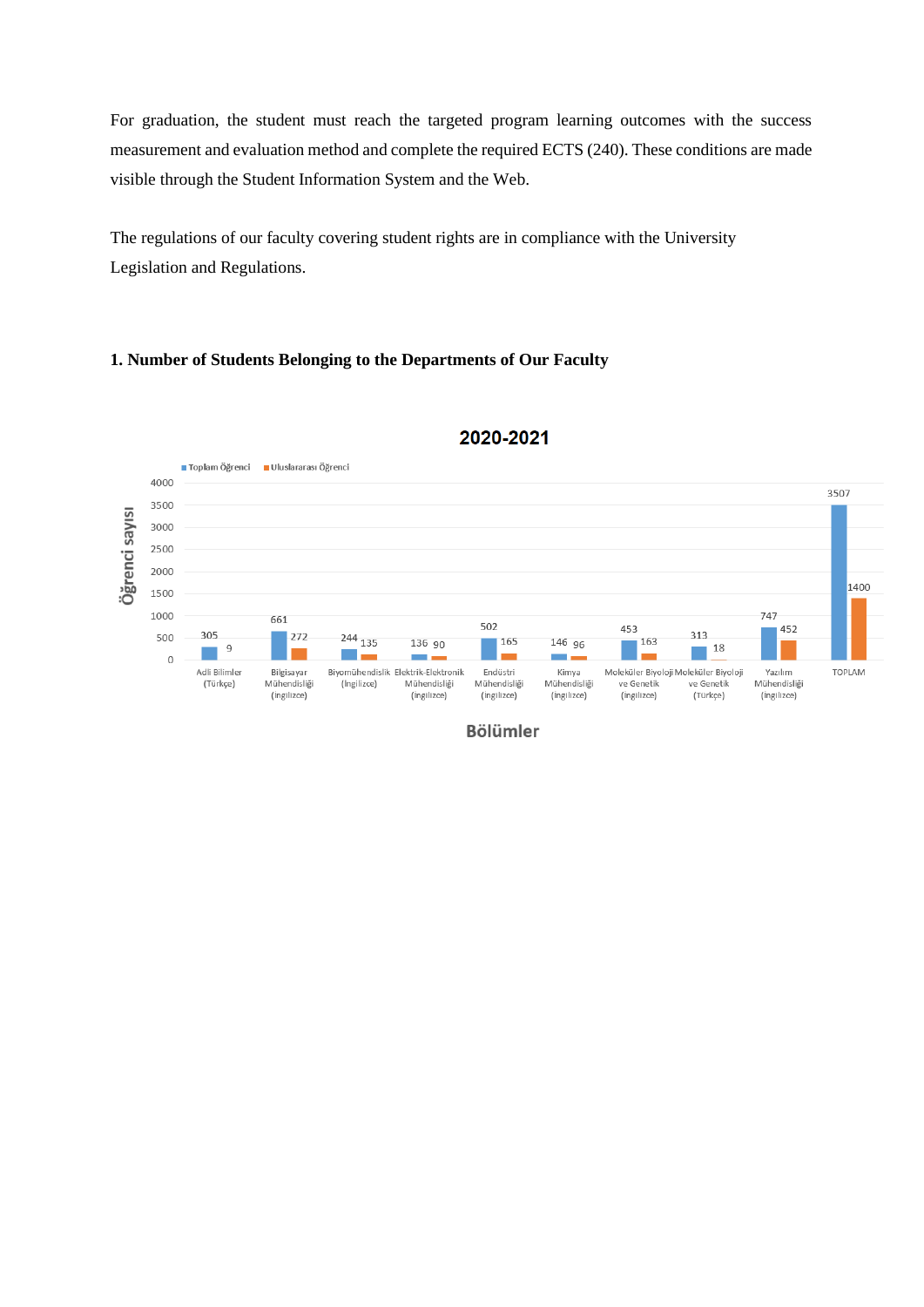For graduation, the student must reach the targeted program learning outcomes with the success measurement and evaluation method and complete the required ECTS (240). These conditions are made visible through the Student Information System and the Web.

The regulations of our faculty covering student rights are in compliance with the University Legislation and Regulations.

## **1. Number of Students Belonging to the Departments of Our Faculty**



## 2020-2021

**Bölümler**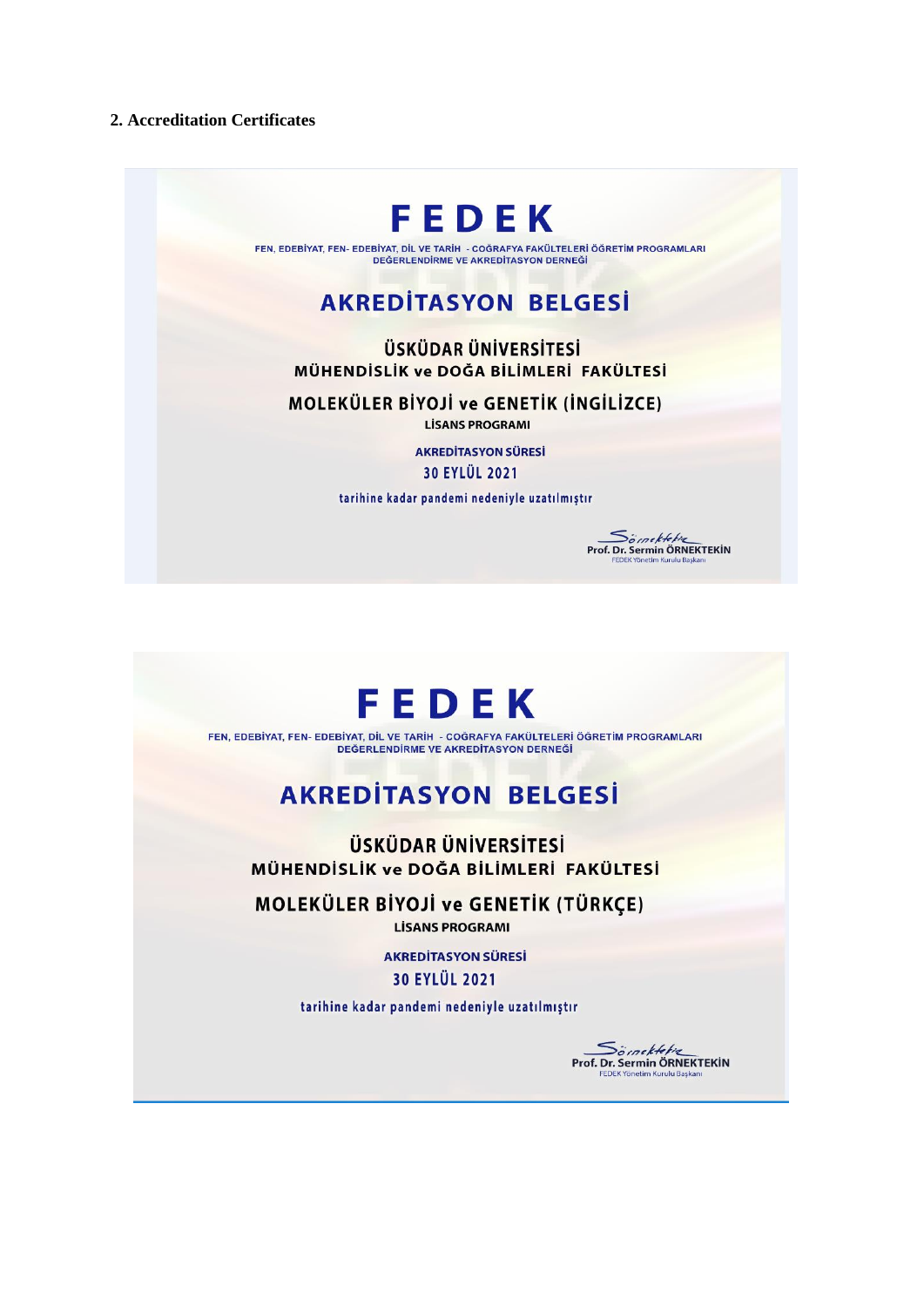### **2. Accreditation Certificates**



FEN, EDEBİYAT, FEN- EDEBİYAT, DİL VE TARİH - COĞRAFYA FAKÜLTELERİ ÖĞRETİM PROGRAMLARI DEĞERLENDİRME VE AKREDİTASYON DERNEĞİ

# **AKREDITASYON BELGESİ**

**ÜSKÜDAR ÜNİVERSİTESİ** MÜHENDİSLİK ve DOĞA BİLİMLERİ FAKÜLTESİ

MOLEKÜLER BİYOJİ ve GENETİK (İNGİLİZCE)

**LISANS PROGRAMI** 

**AKREDİTASYON SÜRESİ** 30 EYLÜL 2021

tarihine kadar pandemi nedeniyle uzatılmıştır



FEN, EDEBİYAT, FEN- EDEBİYAT, DİL VE TARİH - COĞRAFYA FAKÜLTELERİ ÖĞRETİM PROGRAMLARI DEĞERLENDİRME VE AKREDİTASYON DERNEĞİ

# **AKREDITASYON BELGESİ**

**ÜSKÜDAR ÜNİVERSİTESİ** MÜHENDİSLİK ve DOĞA BİLİMLERİ FAKÜLTESİ

MOLEKÜLER BİYOJİ ve GENETİK (TÜRKÇE) **LİSANS PROGRAMI** 

> **AKREDİTASYON SÜRESİ** 30 EYLÜL 2021

tarihine kadar pandemi nedeniyle uzatılmıştır



**Somekteking**<br>Prof. Dr. Sermin ÖRNEKTEKİN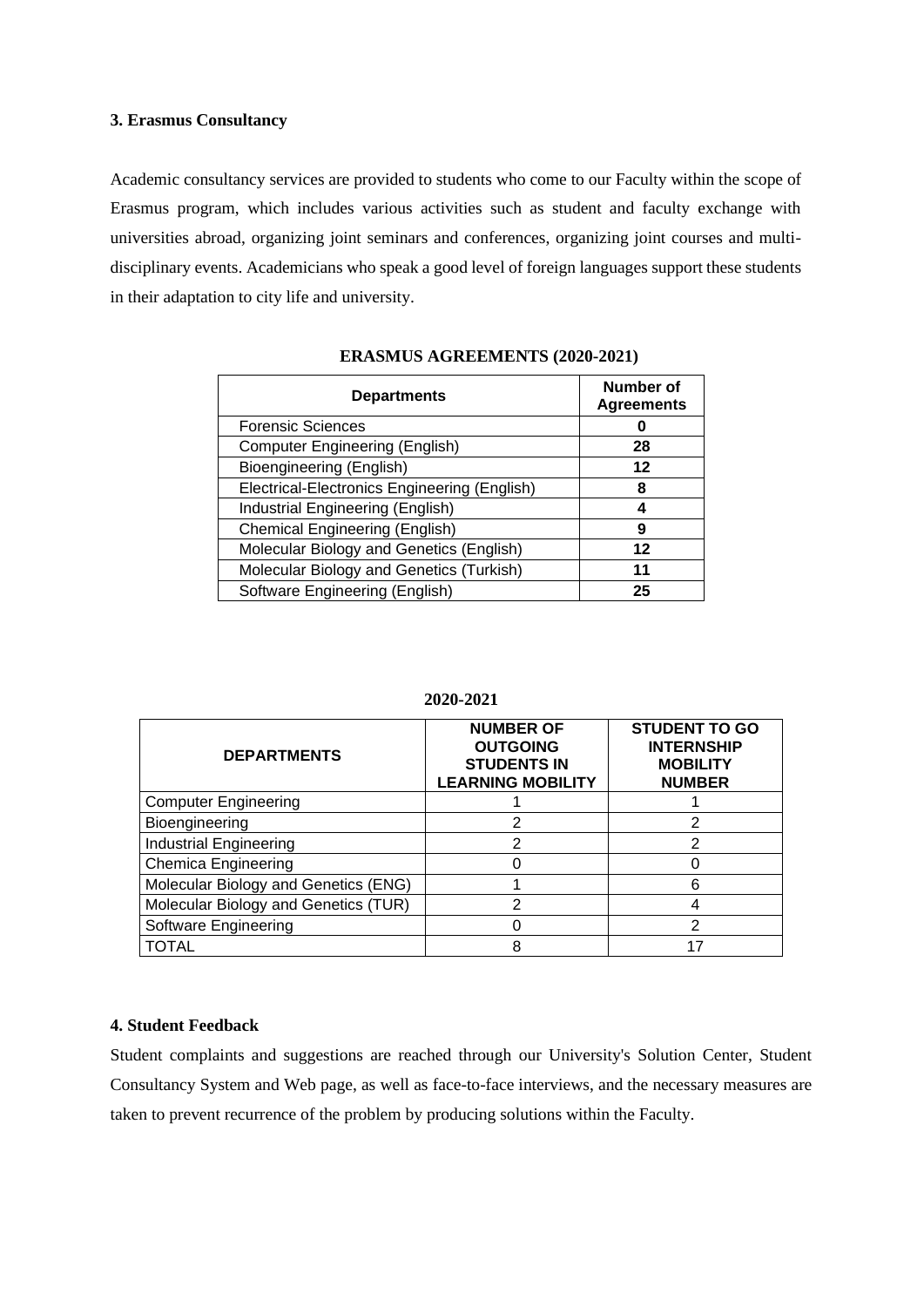#### **3. Erasmus Consultancy**

Academic consultancy services are provided to students who come to our Faculty within the scope of Erasmus program, which includes various activities such as student and faculty exchange with universities abroad, organizing joint seminars and conferences, organizing joint courses and multidisciplinary events. Academicians who speak a good level of foreign languages support these students in their adaptation to city life and university.

| <b>Departments</b>                           | Number of<br><b>Agreements</b> |
|----------------------------------------------|--------------------------------|
| <b>Forensic Sciences</b>                     |                                |
| <b>Computer Engineering (English)</b>        | 28                             |
| Bioengineering (English)                     | 12                             |
| Electrical-Electronics Engineering (English) | 8                              |
| Industrial Engineering (English)             | 4                              |
| <b>Chemical Engineering (English)</b>        | 9                              |
| Molecular Biology and Genetics (English)     | 12                             |
| Molecular Biology and Genetics (Turkish)     | 11                             |
| Software Engineering (English)               | 25                             |

#### **ERASMUS AGREEMENTS (2020-2021)**

| <b>DEPARTMENTS</b>                   | <b>NUMBER OF</b><br><b>OUTGOING</b><br><b>STUDENTS IN</b><br><b>LEARNING MOBILITY</b> | <b>STUDENT TO GO</b><br><b>INTERNSHIP</b><br><b>MOBILITY</b><br><b>NUMBER</b> |  |  |  |
|--------------------------------------|---------------------------------------------------------------------------------------|-------------------------------------------------------------------------------|--|--|--|
| <b>Computer Engineering</b>          |                                                                                       |                                                                               |  |  |  |
| Bioengineering                       | 2                                                                                     |                                                                               |  |  |  |
| <b>Industrial Engineering</b>        | 2                                                                                     |                                                                               |  |  |  |
| <b>Chemica Engineering</b>           |                                                                                       |                                                                               |  |  |  |
| Molecular Biology and Genetics (ENG) |                                                                                       | 6                                                                             |  |  |  |
| Molecular Biology and Genetics (TUR) | 2                                                                                     |                                                                               |  |  |  |
| Software Engineering                 |                                                                                       | 2                                                                             |  |  |  |
| TOTAL                                | 8                                                                                     |                                                                               |  |  |  |

#### **2020-2021**

#### **4. Student Feedback**

Student complaints and suggestions are reached through our University's Solution Center, Student Consultancy System and Web page, as well as face-to-face interviews, and the necessary measures are taken to prevent recurrence of the problem by producing solutions within the Faculty.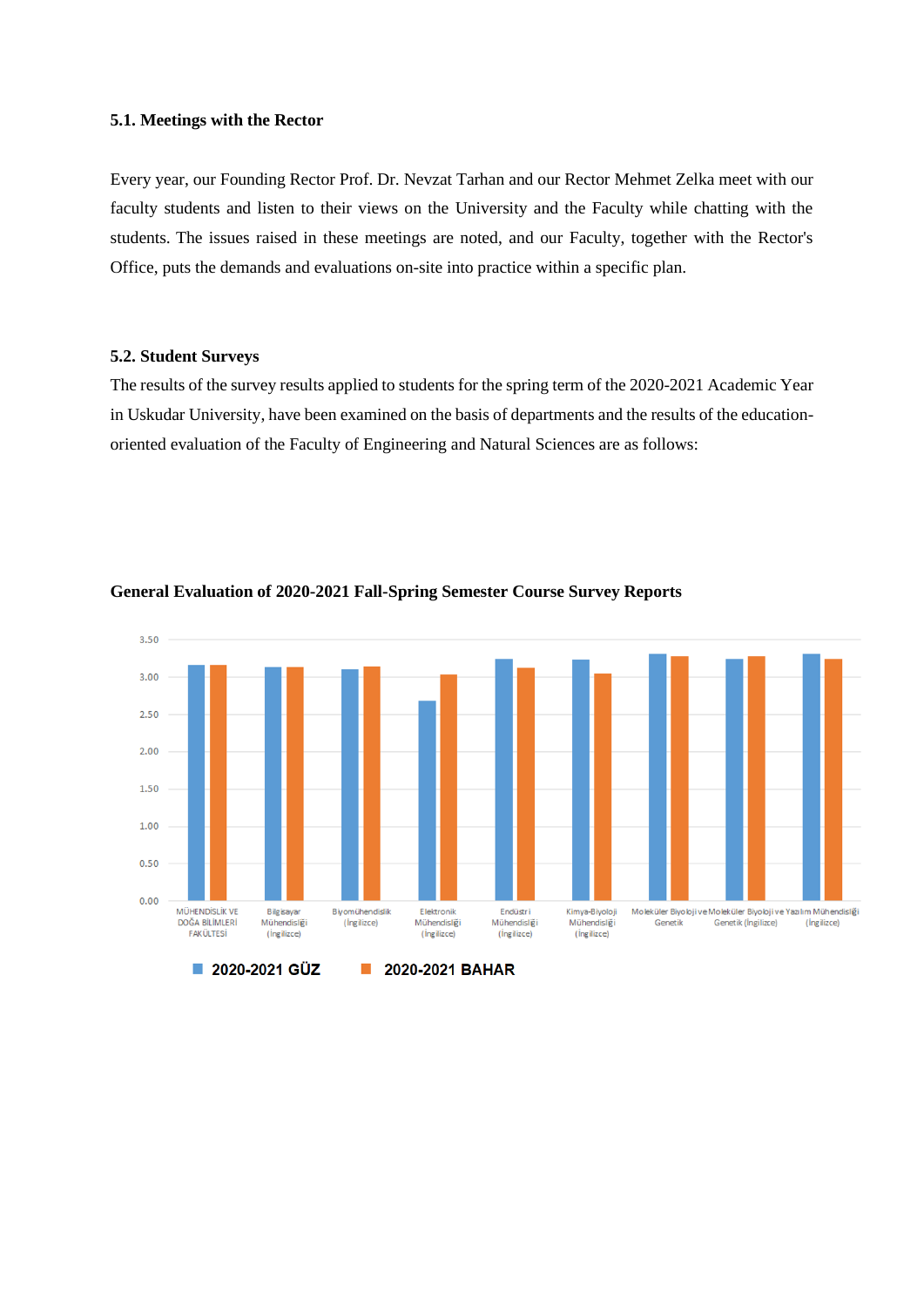#### **5.1. Meetings with the Rector**

Every year, our Founding Rector Prof. Dr. Nevzat Tarhan and our Rector Mehmet Zelka meet with our faculty students and listen to their views on the University and the Faculty while chatting with the students. The issues raised in these meetings are noted, and our Faculty, together with the Rector's Office, puts the demands and evaluations on-site into practice within a specific plan.

#### **5.2. Student Surveys**

The results of the survey results applied to students for the spring term of the 2020-2021 Academic Year in Uskudar University, have been examined on the basis of departments and the results of the educationoriented evaluation of the Faculty of Engineering and Natural Sciences are as follows:



#### **General Evaluation of 2020-2021 Fall-Spring Semester Course Survey Reports**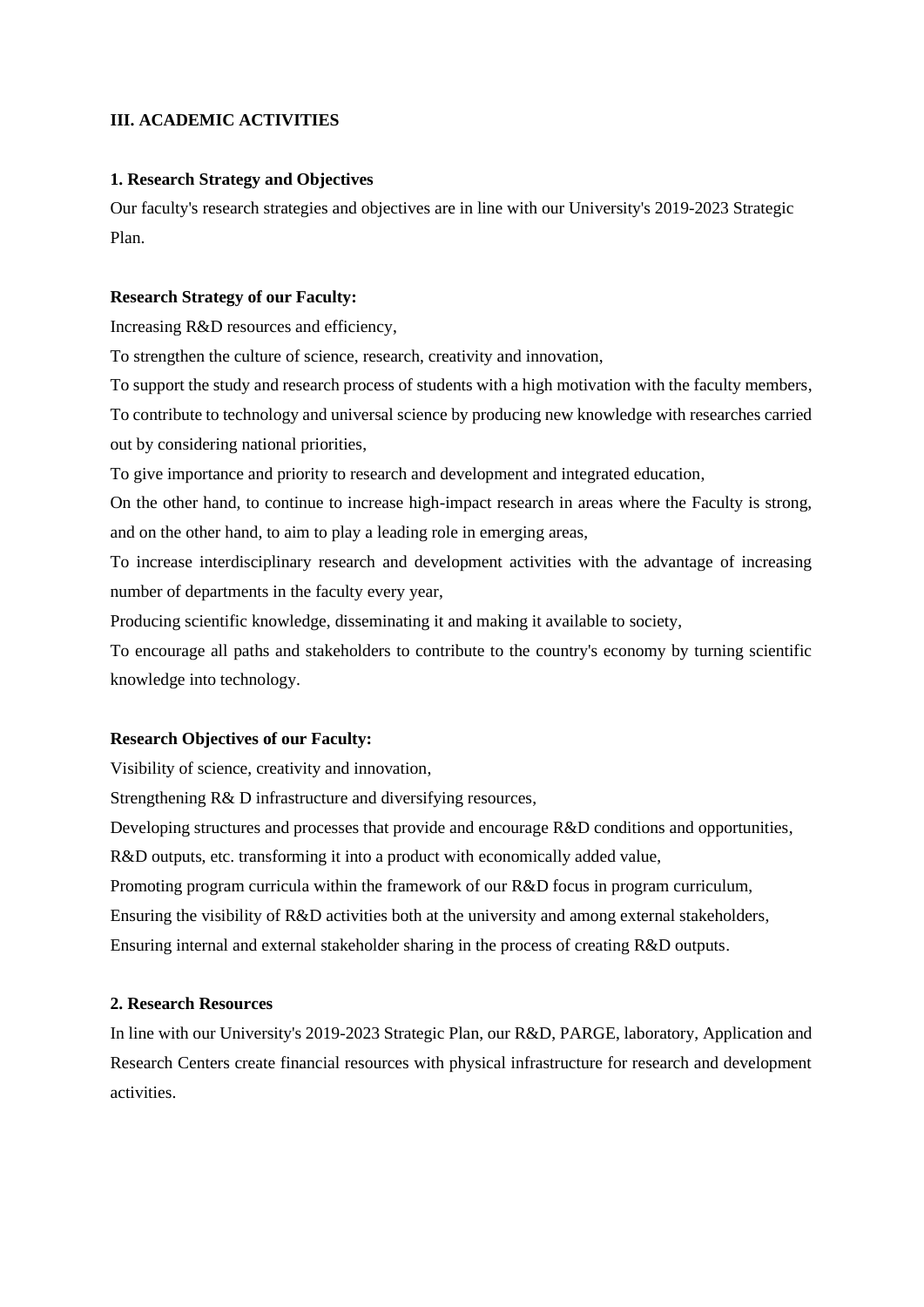## **III. ACADEMIC ACTIVITIES**

#### **1. Research Strategy and Objectives**

Our faculty's research strategies and objectives are in line with our University's 2019-2023 Strategic Plan.

#### **Research Strategy of our Faculty:**

Increasing R&D resources and efficiency,

To strengthen the culture of science, research, creativity and innovation,

To support the study and research process of students with a high motivation with the faculty members, To contribute to technology and universal science by producing new knowledge with researches carried out by considering national priorities,

To give importance and priority to research and development and integrated education,

On the other hand, to continue to increase high-impact research in areas where the Faculty is strong, and on the other hand, to aim to play a leading role in emerging areas,

To increase interdisciplinary research and development activities with the advantage of increasing number of departments in the faculty every year,

Producing scientific knowledge, disseminating it and making it available to society,

To encourage all paths and stakeholders to contribute to the country's economy by turning scientific knowledge into technology.

#### **Research Objectives of our Faculty:**

Visibility of science, creativity and innovation,

Strengthening R& D infrastructure and diversifying resources,

Developing structures and processes that provide and encourage R&D conditions and opportunities,

R&D outputs, etc. transforming it into a product with economically added value,

Promoting program curricula within the framework of our R&D focus in program curriculum,

Ensuring the visibility of R&D activities both at the university and among external stakeholders,

Ensuring internal and external stakeholder sharing in the process of creating R&D outputs.

#### **2. Research Resources**

In line with our University's 2019-2023 Strategic Plan, our R&D, PARGE, laboratory, Application and Research Centers create financial resources with physical infrastructure for research and development activities.